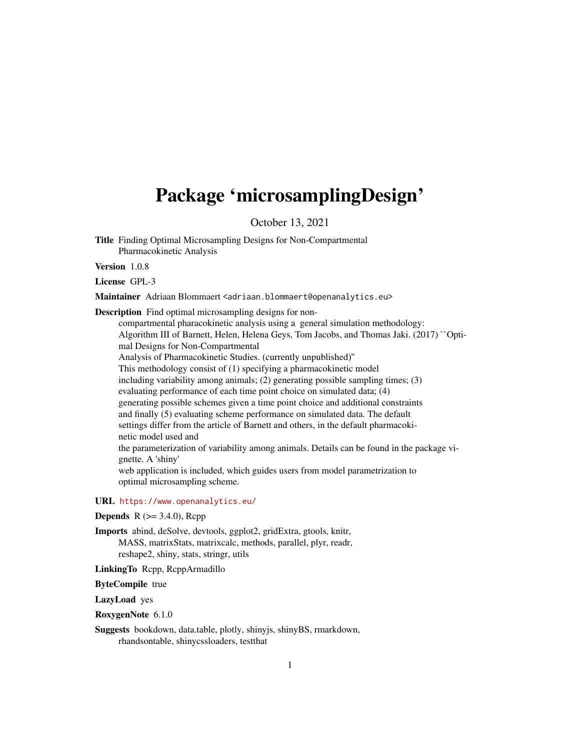# <span id="page-0-0"></span>Package 'microsamplingDesign'

October 13, 2021

Title Finding Optimal Microsampling Designs for Non-Compartmental Pharmacokinetic Analysis

Version 1.0.8

License GPL-3

Maintainer Adriaan Blommaert <adriaan.blommaert@openanalytics.eu>

Description Find optimal microsampling designs for non-

compartmental pharacokinetic analysis using a general simulation methodology: Algorithm III of Barnett, Helen, Helena Geys, Tom Jacobs, and Thomas Jaki. (2017) ``Optimal Designs for Non-Compartmental Analysis of Pharmacokinetic Studies. (currently unpublished)'' This methodology consist of (1) specifying a pharmacokinetic model including variability among animals; (2) generating possible sampling times; (3) evaluating performance of each time point choice on simulated data; (4) generating possible schemes given a time point choice and additional constraints and finally (5) evaluating scheme performance on simulated data. The default settings differ from the article of Barnett and others, in the default pharmacokinetic model used and the parameterization of variability among animals. Details can be found in the package vignette. A 'shiny' web application is included, which guides users from model parametrization to optimal microsampling scheme.

#### URL <https://www.openanalytics.eu/>

# **Depends** R  $(>= 3.4.0)$ , Rcpp

Imports abind, deSolve, devtools, ggplot2, gridExtra, gtools, knitr, MASS, matrixStats, matrixcalc, methods, parallel, plyr, readr, reshape2, shiny, stats, stringr, utils

LinkingTo Rcpp, RcppArmadillo

ByteCompile true

LazyLoad yes

RoxygenNote 6.1.0

Suggests bookdown, data.table, plotly, shinyjs, shinyBS, rmarkdown, rhandsontable, shinycssloaders, testthat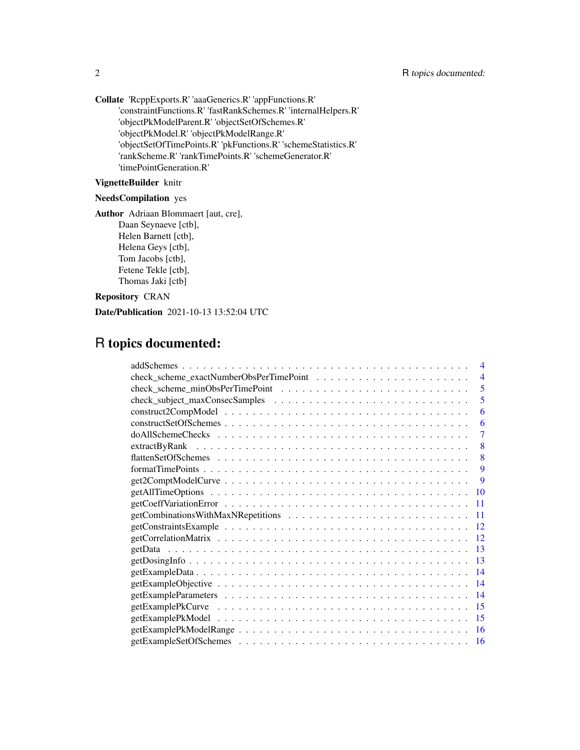Collate 'RcppExports.R' 'aaaGenerics.R' 'appFunctions.R' 'constraintFunctions.R' 'fastRankSchemes.R' 'internalHelpers.R' 'objectPkModelParent.R' 'objectSetOfSchemes.R' 'objectPkModel.R' 'objectPkModelRange.R' 'objectSetOfTimePoints.R' 'pkFunctions.R' 'schemeStatistics.R' 'rankScheme.R' 'rankTimePoints.R' 'schemeGenerator.R' 'timePointGeneration.R'

# VignetteBuilder knitr

# NeedsCompilation yes

Author Adriaan Blommaert [aut, cre], Daan Seynaeve [ctb], Helen Barnett [ctb], Helena Geys [ctb], Tom Jacobs [ctb], Fetene Tekle [ctb], Thomas Jaki [ctb]

Repository CRAN

Date/Publication 2021-10-13 13:52:04 UTC

# R topics documented:

| $\overline{4}$ |
|----------------|
| $\overline{4}$ |
| 5              |
| 5              |
| 6              |
| 6              |
| 7              |
| 8              |
| 8              |
| 9              |
| -9             |
| 10             |
| 11             |
| -11            |
| 12             |
| 12             |
| 13             |
| 13             |
| 14             |
| 14             |
| 14             |
| 15             |
| 15             |
| 16             |
| 16             |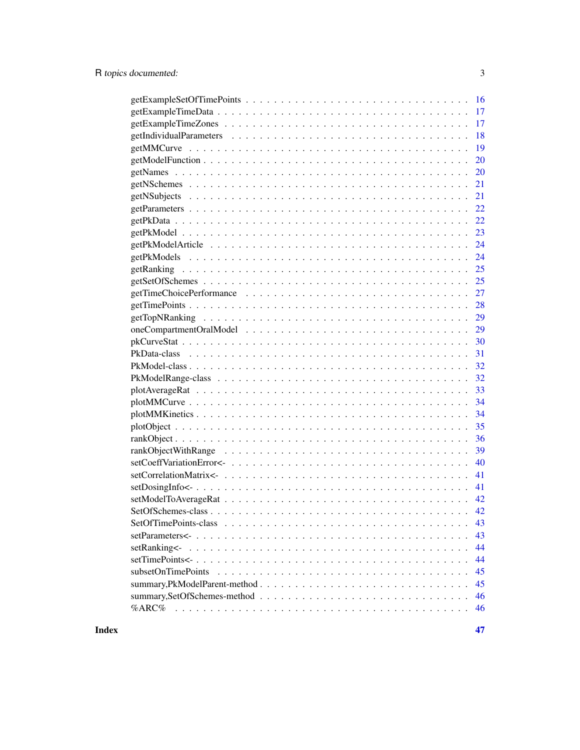|                    | 16  |
|--------------------|-----|
|                    |     |
|                    | 17  |
|                    | 18  |
|                    | 19  |
|                    | 20  |
|                    | 20  |
|                    | 21  |
|                    | 21  |
|                    | 22  |
|                    | 22  |
|                    | 23  |
|                    | 24  |
|                    | 24  |
|                    | 25  |
|                    | 25  |
|                    | 27  |
|                    | 28  |
|                    | 29  |
|                    | 29  |
|                    | 30  |
|                    | 31  |
|                    | -32 |
|                    | 32  |
|                    |     |
|                    | 34  |
|                    | 34  |
|                    | 35  |
|                    | 36  |
|                    | 39  |
|                    | 40  |
|                    | 41  |
|                    | 41  |
|                    |     |
|                    | 42  |
|                    | 43  |
|                    | 43  |
| setRanking<-       | 44  |
|                    | 44  |
| subsetOnTimePoints | 45  |
|                    | 45  |
|                    | 46  |
| $%$ ARC $%$        | 46  |
|                    |     |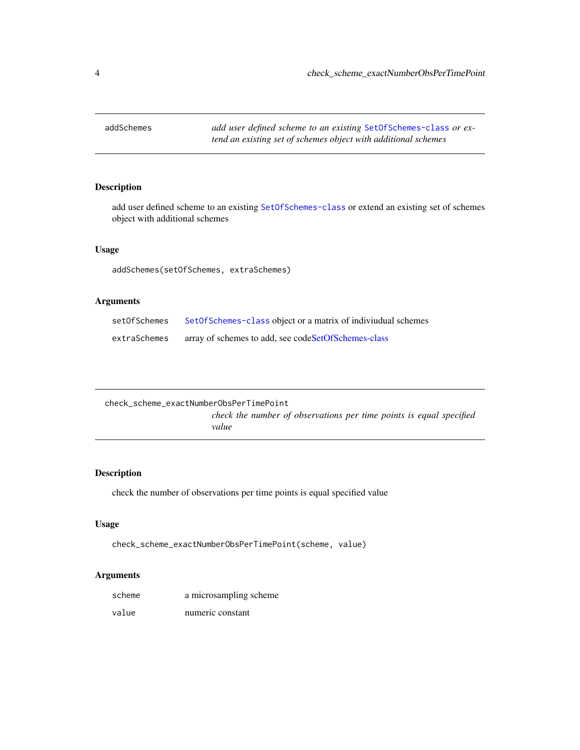<span id="page-3-0"></span>

add user defined scheme to an existing [SetOfSchemes-class](#page-41-1) or extend an existing set of schemes object with additional schemes

## Usage

addSchemes(setOfSchemes, extraSchemes)

# Arguments

| setOfSchemes | SetOfSchemes-class object or a matrix of indiviudual schemes |
|--------------|--------------------------------------------------------------|
| extraSchemes | array of schemes to add, see codeSetOfSchemes-class          |

| check scheme exactNumberObsPerTimePoint |                                                                              |
|-----------------------------------------|------------------------------------------------------------------------------|
|                                         | check the number of observations per time points is equal specified<br>value |

# Description

check the number of observations per time points is equal specified value

## Usage

check\_scheme\_exactNumberObsPerTimePoint(scheme, value)

| scheme | a microsampling scheme |
|--------|------------------------|
| value  | numeric constant       |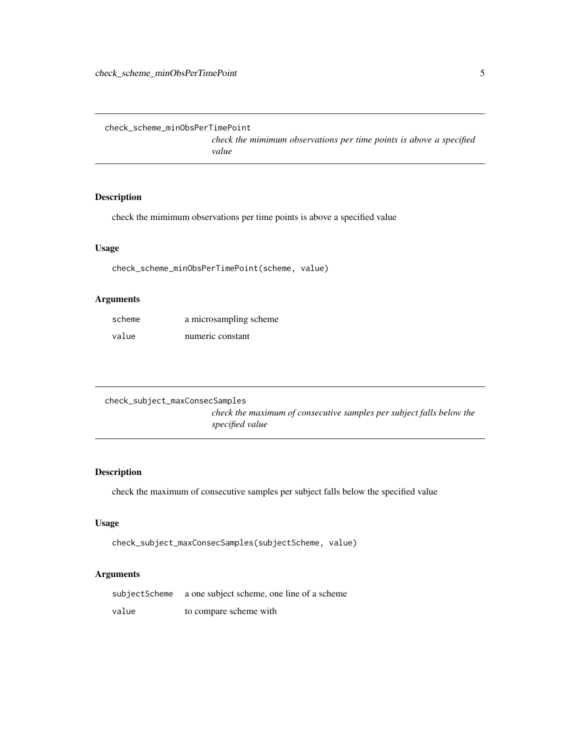<span id="page-4-1"></span><span id="page-4-0"></span>check\_scheme\_minObsPerTimePoint

*check the mimimum observations per time points is above a specified value*

# Description

check the mimimum observations per time points is above a specified value

# Usage

check\_scheme\_minObsPerTimePoint(scheme, value)

# Arguments

| scheme | a microsampling scheme |
|--------|------------------------|
| value  | numeric constant       |

```
check_subject_maxConsecSamples
                          check the maximum of consecutive samples per subject falls below the
                          specified value
```
# Description

check the maximum of consecutive samples per subject falls below the specified value

## Usage

```
check_subject_maxConsecSamples(subjectScheme, value)
```

| subjectScheme | a one subject scheme, one line of a scheme |
|---------------|--------------------------------------------|
| value         | to compare scheme with                     |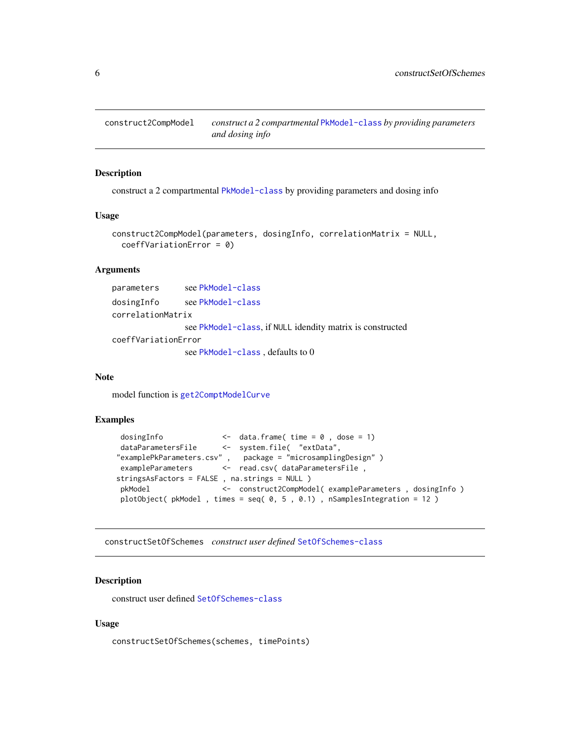<span id="page-5-0"></span>construct2CompModel *construct a 2 compartmental* [PkModel-class](#page-31-1) *by providing parameters and dosing info*

# Description

construct a 2 compartmental [PkModel-class](#page-31-1) by providing parameters and dosing info

#### Usage

```
construct2CompModel(parameters, dosingInfo, correlationMatrix = NULL,
 coeffVariationError = 0)
```
## Arguments

| parameters          | see PkModel-class                                         |
|---------------------|-----------------------------------------------------------|
| dosingInfo          | see PkModel-class                                         |
| correlationMatrix   |                                                           |
|                     | see PkModel-class, if NULL idendity matrix is constructed |
| coeffVariationError |                                                           |
|                     | see PkModel-class, defaults to 0                          |

#### Note

model function is [get2ComptModelCurve](#page-8-1)

## Examples

```
dosingInfo <- data.frame( time = 0 , dose = 1)
 dataParametersFile <- system.file( "extData",
"examplePkParameters.csv" , package = "microsamplingDesign" )
exampleParameters <- read.csv( dataParametersFile,
stringsAsFactors = FALSE , na.strings = NULL )
pkModel <- construct2CompModel( exampleParameters , dosingInfo )
plotObject( pkModel , times = seq( 0, 5 , 0.1) , nSamplesIntegration = 12 )
```
constructSetOfSchemes *construct user defined* [SetOfSchemes-class](#page-41-1)

# Description

construct user defined [SetOfSchemes-class](#page-41-1)

#### Usage

constructSetOfSchemes(schemes, timePoints)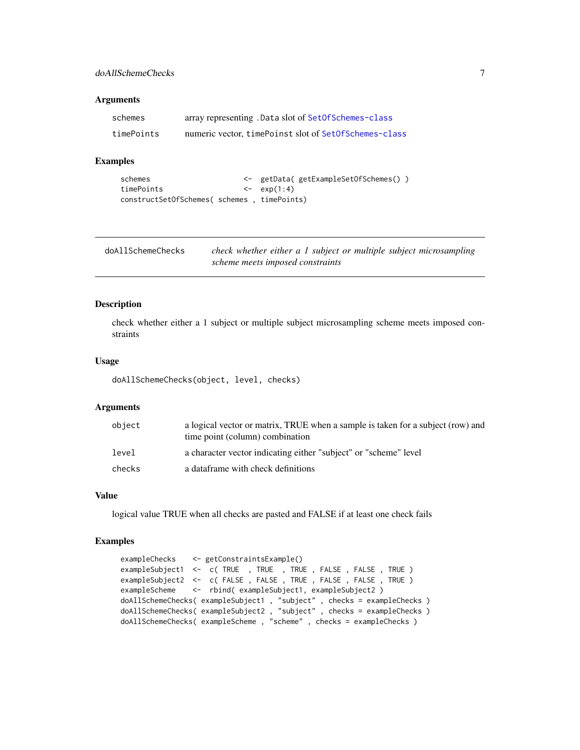## <span id="page-6-0"></span>doAllSchemeChecks 7

#### Arguments

| schemes    | array representing . Data slot of SetOfSchemes-class  |
|------------|-------------------------------------------------------|
| timePoints | numeric vector, timePoinst slot of SetOfSchemes-class |

# Examples

```
schemes <- getData( getExampleSetOfSchemes() )
timePoints <- exp(1:4)
constructSetOfSchemes( schemes , timePoints)
```

| doAllSchemeChecks | check whether either a 1 subject or multiple subject microsampling |
|-------------------|--------------------------------------------------------------------|
|                   | scheme meets imposed constraints                                   |

#### Description

check whether either a 1 subject or multiple subject microsampling scheme meets imposed constraints

#### Usage

doAllSchemeChecks(object, level, checks)

## Arguments

| object | a logical vector or matrix, TRUE when a sample is taken for a subject (row) and<br>time point (column) combination |
|--------|--------------------------------------------------------------------------------------------------------------------|
| level  | a character vector indicating either "subject" or "scheme" level                                                   |
| checks | a dataframe with check definitions                                                                                 |

## Value

logical value TRUE when all checks are pasted and FALSE if at least one check fails

# Examples

```
exampleChecks <- getConstraintsExample()
exampleSubject1 <- c( TRUE , TRUE , TRUE , FALSE , FALSE , TRUE )
exampleSubject2 <- c( FALSE , FALSE , TRUE , FALSE , FALSE , TRUE )
exampleScheme <- rbind( exampleSubject1, exampleSubject2 )
doAllSchemeChecks( exampleSubject1 , "subject" , checks = exampleChecks )
doAllSchemeChecks( exampleSubject2 , "subject" , checks = exampleChecks )
doAllSchemeChecks( exampleScheme , "scheme" , checks = exampleChecks )
```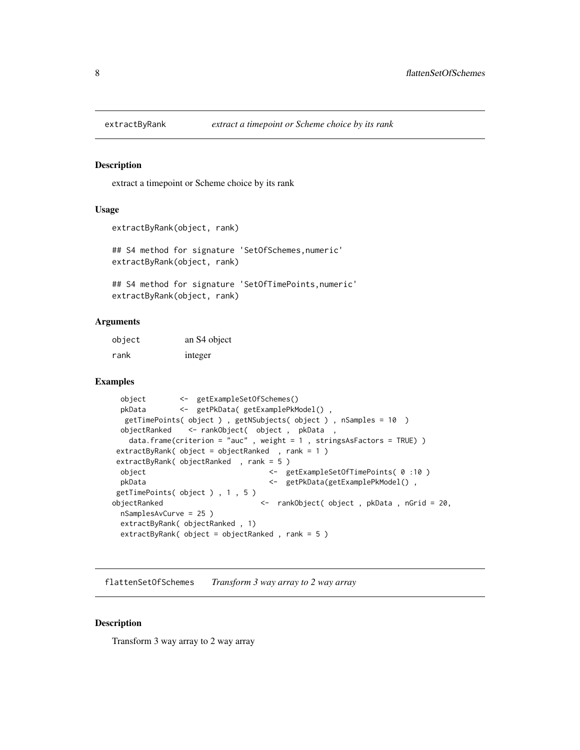<span id="page-7-0"></span>

extract a timepoint or Scheme choice by its rank

#### Usage

```
extractByRank(object, rank)
```
## S4 method for signature 'SetOfSchemes,numeric' extractByRank(object, rank)

## S4 method for signature 'SetOfTimePoints,numeric' extractByRank(object, rank)

#### Arguments

| object | an S4 object |
|--------|--------------|
| rank   | integer      |

## Examples

```
object <- getExampleSetOfSchemes()
 pkData <- getPkData( getExamplePkModel() ,
  getTimePoints( object ) , getNSubjects( object ) , nSamples = 10 )
 objectRanked <- rankObject( object , pkData ,
   data.frame(criterion = "auc" , weight = 1 , stringsAsFactors = TRUE) )
extractByRank( object = objectRanked , rank = 1 )
extractByRank( objectRanked , rank = 5 )
 object <- getExampleSetOfTimePoints( 0 :10 )
 pkData <- getPkData(getExamplePkModel() ,
getTimePoints( object ) , 1 , 5 )
objectRanked <- rankObject( object , pkData , nGrid = 20,
 nSamplesAvCurve = 25 )
 extractByRank( objectRanked , 1)
 extractByRank( object = objectRanked , rank = 5 )
```
flattenSetOfSchemes *Transform 3 way array to 2 way array*

#### Description

Transform 3 way array to 2 way array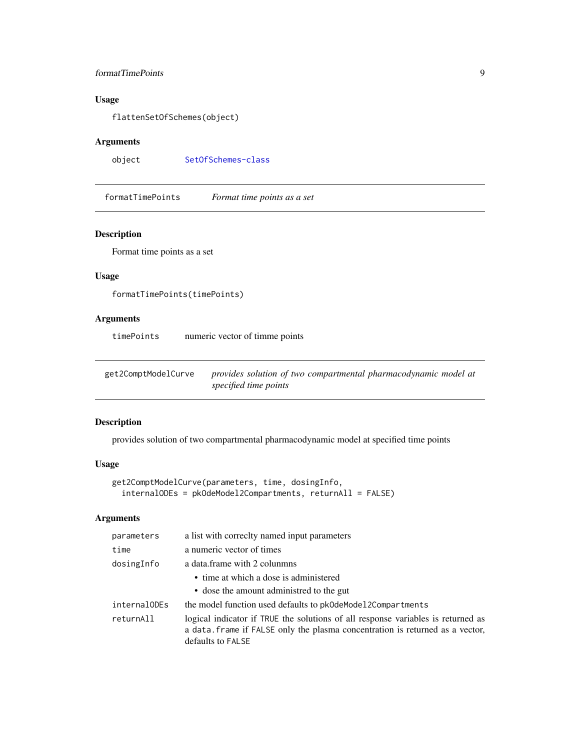# <span id="page-8-0"></span>formatTimePoints 9

# Usage

flattenSetOfSchemes(object)

# Arguments

object [SetOfSchemes-class](#page-41-1)

formatTimePoints *Format time points as a set*

# Description

Format time points as a set

# Usage

```
formatTimePoints(timePoints)
```
# Arguments

timePoints numeric vector of timme points

<span id="page-8-1"></span>get2ComptModelCurve *provides solution of two compartmental pharmacodynamic model at specified time points*

# Description

provides solution of two compartmental pharmacodynamic model at specified time points

# Usage

```
get2ComptModelCurve(parameters, time, dosingInfo,
  internalODEs = pkOdeModel2Compartments, returnAll = FALSE)
```

| parameters   | a list with correctly named input parameters                                                                                                                                           |
|--------------|----------------------------------------------------------------------------------------------------------------------------------------------------------------------------------------|
| time         | a numeric vector of times                                                                                                                                                              |
| dosingInfo   | a data frame with 2 colunmns                                                                                                                                                           |
|              | • time at which a dose is administered<br>• dose the amount administred to the gut                                                                                                     |
| internalODEs | the model function used defaults to pk0deModel2Compartments                                                                                                                            |
| returnAll    | logical indicator if TRUE the solutions of all response variables is returned as<br>a data. frame if FALSE only the plasma concentration is returned as a vector,<br>defaults to FALSE |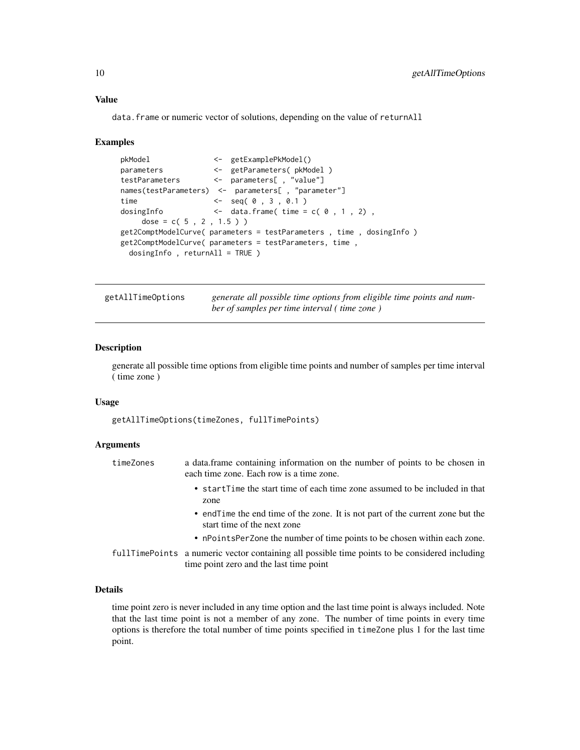## Value

data.frame or numeric vector of solutions, depending on the value of returnAll

#### Examples

```
pkModel <- getExamplePkModel()
parameters <- getParameters( pkModel )
testParameters <- parameters[ , "value"]
names(testParameters) <- parameters[ , "parameter"]
time <- seq( 0 , 3 , 0.1 )
dosingInfo \leftarrow data.frame( time = c( \theta , 1, 2),
    dose = c( 5, 2, 1.5 )get2ComptModelCurve( parameters = testParameters , time , dosingInfo )
get2ComptModelCurve( parameters = testParameters, time ,
 dosingInfo , returnAll = TRUE )
```
getAllTimeOptions *generate all possible time options from eligible time points and number of samples per time interval ( time zone )*

#### Description

generate all possible time options from eligible time points and number of samples per time interval ( time zone )

#### Usage

getAllTimeOptions(timeZones, fullTimePoints)

#### Arguments

| timeZones | a data frame containing information on the number of points to be chosen in<br>each time zone. Each row is a time zone.                     |
|-----------|---------------------------------------------------------------------------------------------------------------------------------------------|
|           | • startTime the start time of each time zone assumed to be included in that<br>zone                                                         |
|           | • end Time the end time of the zone. It is not part of the current zone but the<br>start time of the next zone                              |
|           | • nPointsPerZone the number of time points to be chosen within each zone.                                                                   |
|           | full Time Points a numeric vector containing all possible time points to be considered including<br>time point zero and the last time point |

# Details

time point zero is never included in any time option and the last time point is always included. Note that the last time point is not a member of any zone. The number of time points in every time options is therefore the total number of time points specified in timeZone plus 1 for the last time point.

<span id="page-9-0"></span>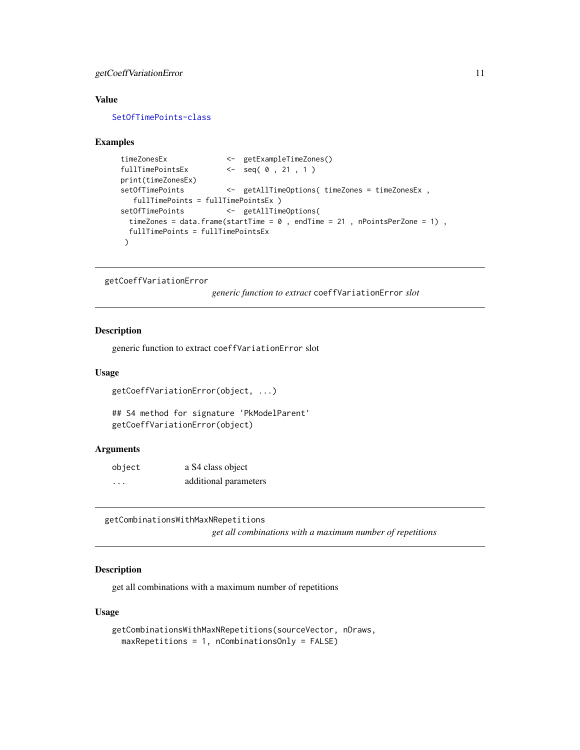# <span id="page-10-0"></span>getCoeffVariationError 11

## Value

[SetOfTimePoints-class](#page-42-1)

#### Examples

```
timeZonesEx <- getExampleTimeZones()
fullTimePointsEx <- seq( 0, 21, 1)
print(timeZonesEx)
setOfTimePoints <- getAllTimeOptions( timeZones = timeZonesEx,
  fullTimePoints = fullTimePointsEx )
setOfTimePoints <- getAllTimeOptions(
 timeZones = data.frame(startTime = 0, endTime = 21, nPointsPerZone = 1),
 fullTimePoints = fullTimePointsEx
\lambda
```
getCoeffVariationError

*generic function to extract* coeffVariationError *slot*

# Description

generic function to extract coeffVariationError slot

#### Usage

```
getCoeffVariationError(object, ...)
```
## S4 method for signature 'PkModelParent' getCoeffVariationError(object)

#### Arguments

| object | a S4 class object     |
|--------|-----------------------|
| .      | additional parameters |

getCombinationsWithMaxNRepetitions

*get all combinations with a maximum number of repetitions*

#### Description

get all combinations with a maximum number of repetitions

## Usage

```
getCombinationsWithMaxNRepetitions(sourceVector, nDraws,
 maxRepetitions = 1, nCombinationsOnly = FALSE)
```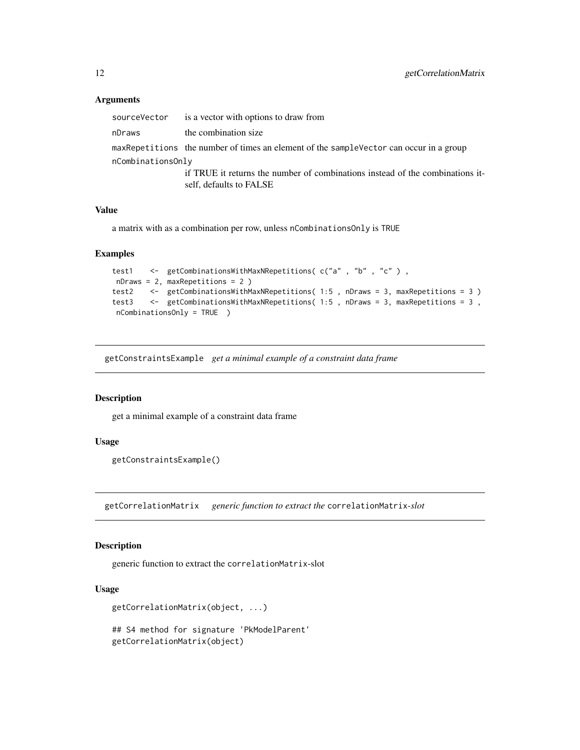## Arguments

| sourceVector      | is a vector with options to draw from                                                   |
|-------------------|-----------------------------------------------------------------------------------------|
| nDraws            | the combination size                                                                    |
|                   | maxRepetitions the number of times an element of the sample Vector can occur in a group |
| nCombinationsOnly |                                                                                         |
|                   | if TRUE it returns the number of combinations instead of the combinations it-           |
|                   | self, defaults to FALSE                                                                 |

#### Value

a matrix with as a combination per row, unless nCombinationsOnly is TRUE

#### Examples

```
test1 <- getCombinationsWithMaxNRepetitions(c("a", "b", "c"),
nDraws = 2, maxRepetitions = 2 )
test2 <- getCombinationsWithMaxNRepetitions(1:5, nDraws = 3, maxRepetitions = 3)
test3 <- getCombinationsWithMaxNRepetitions( 1:5 , nDraws = 3, maxRepetitions = 3 ,
nCombinationsOnly = TRUE )
```
getConstraintsExample *get a minimal example of a constraint data frame*

#### Description

get a minimal example of a constraint data frame

#### Usage

```
getConstraintsExample()
```
getCorrelationMatrix *generic function to extract the* correlationMatrix*-slot*

# Description

generic function to extract the correlationMatrix-slot

## Usage

```
getCorrelationMatrix(object, ...)
```
## S4 method for signature 'PkModelParent' getCorrelationMatrix(object)

<span id="page-11-0"></span>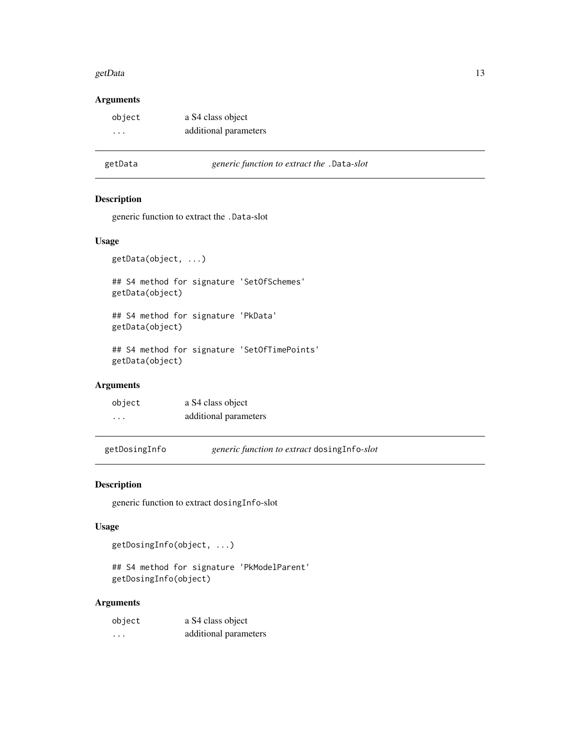#### <span id="page-12-0"></span>getData 13

# Arguments

| object                  | a S4 class object     |
|-------------------------|-----------------------|
| $\cdot$ $\cdot$ $\cdot$ | additional parameters |

## getData *generic function to extract the* .Data*-slot*

## Description

generic function to extract the .Data-slot

## Usage

```
getData(object, ...)
```
## S4 method for signature 'SetOfSchemes' getData(object)

## S4 method for signature 'PkData' getData(object)

## S4 method for signature 'SetOfTimePoints' getData(object)

# Arguments

| object | a S4 class object     |
|--------|-----------------------|
| .      | additional parameters |

getDosingInfo *generic function to extract* dosingInfo*-slot*

## Description

generic function to extract dosingInfo-slot

# Usage

```
getDosingInfo(object, ...)
```
## S4 method for signature 'PkModelParent' getDosingInfo(object)

| object | a S4 class object     |
|--------|-----------------------|
| .      | additional parameters |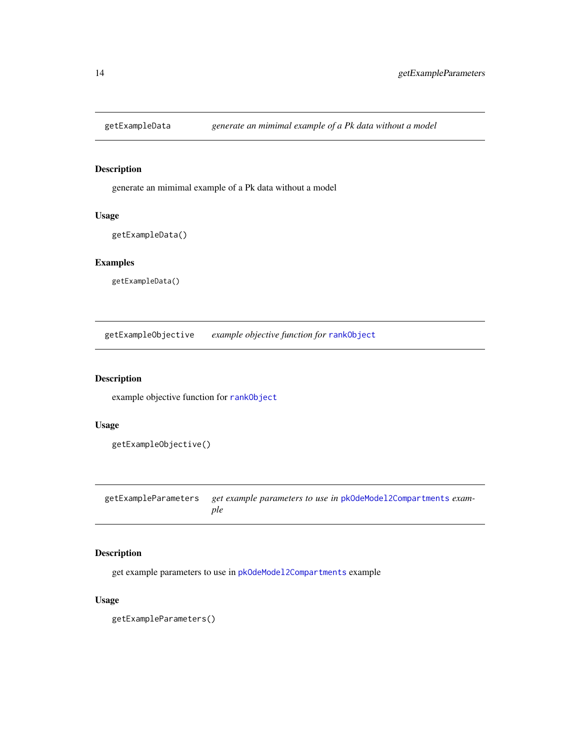<span id="page-13-0"></span>

generate an mimimal example of a Pk data without a model

# Usage

```
getExampleData()
```
# Examples

getExampleData()

getExampleObjective *example objective function for* [rankObject](#page-35-1)

# Description

example objective function for [rankObject](#page-35-1)

# Usage

```
getExampleObjective()
```
getExampleParameters *get example parameters to use in* [pkOdeModel2Compartments](#page-0-0) *example*

# Description

get example parameters to use in [pkOdeModel2Compartments](#page-0-0) example

# Usage

getExampleParameters()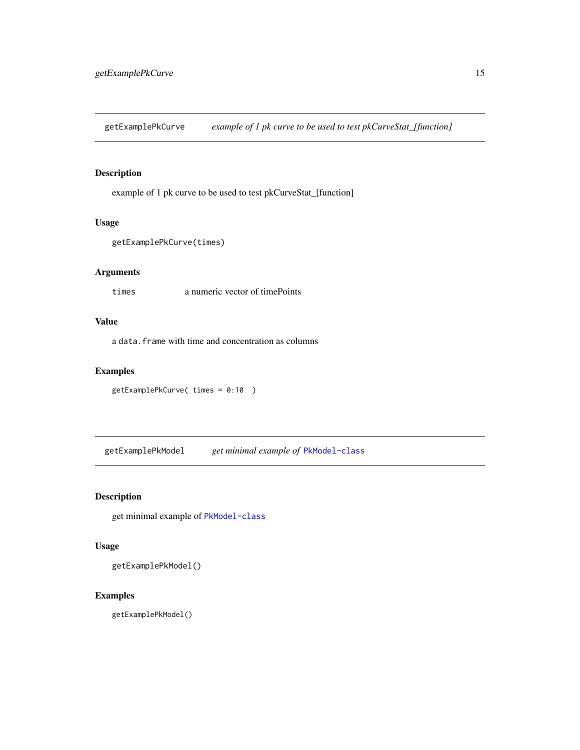<span id="page-14-0"></span>getExamplePkCurve *example of 1 pk curve to be used to test pkCurveStat\_[function]*

## Description

example of 1 pk curve to be used to test pkCurveStat\_[function]

## Usage

```
getExamplePkCurve(times)
```
# Arguments

times a numeric vector of timePoints

# Value

a data.frame with time and concentration as columns

## Examples

```
getExamplePkCurve( times = 0:10 )
```
getExamplePkModel *get minimal example of* [PkModel-class](#page-31-1)

## Description

get minimal example of [PkModel-class](#page-31-1)

# Usage

getExamplePkModel()

# Examples

getExamplePkModel()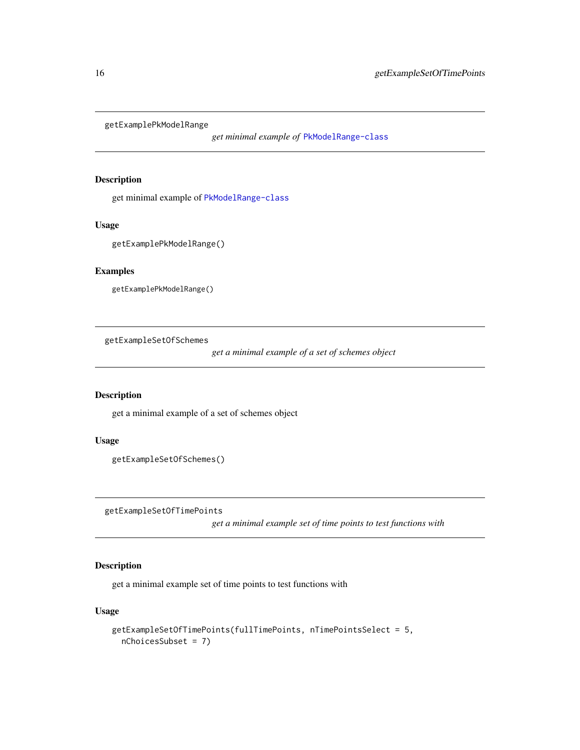<span id="page-15-0"></span>getExamplePkModelRange

*get minimal example of* [PkModelRange-class](#page-31-2)

#### Description

get minimal example of [PkModelRange-class](#page-31-2)

## Usage

```
getExamplePkModelRange()
```
# Examples

```
getExamplePkModelRange()
```
getExampleSetOfSchemes

*get a minimal example of a set of schemes object*

## Description

get a minimal example of a set of schemes object

## Usage

```
getExampleSetOfSchemes()
```
getExampleSetOfTimePoints

*get a minimal example set of time points to test functions with*

# Description

get a minimal example set of time points to test functions with

# Usage

```
getExampleSetOfTimePoints(fullTimePoints, nTimePointsSelect = 5,
 nChoicesSubset = 7)
```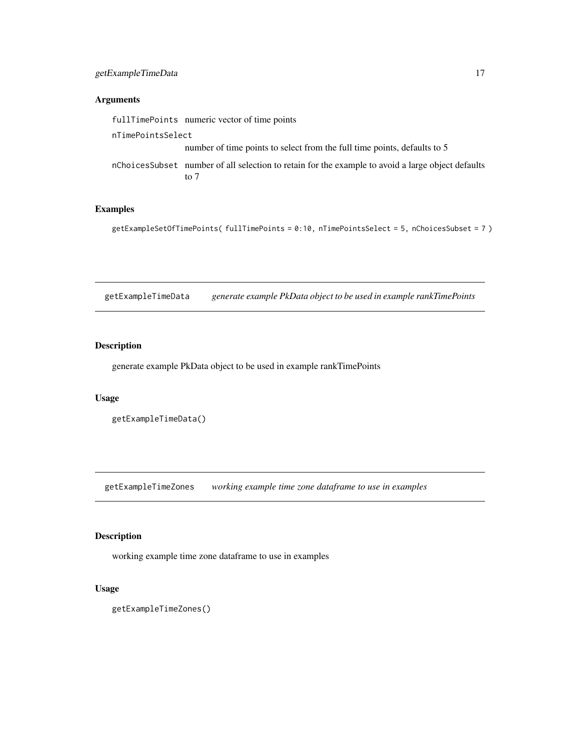# <span id="page-16-0"></span>Arguments

|                   | fullTimePoints numeric vector of time points                                                               |
|-------------------|------------------------------------------------------------------------------------------------------------|
| nTimePointsSelect |                                                                                                            |
|                   | number of time points to select from the full time points, defaults to 5                                   |
|                   | nchoices Subset number of all selection to retain for the example to avoid a large object defaults<br>to 7 |

# Examples

```
getExampleSetOfTimePoints( fullTimePoints = 0:10, nTimePointsSelect = 5, nChoicesSubset = 7 )
```
getExampleTimeData *generate example PkData object to be used in example rankTimePoints*

## Description

generate example PkData object to be used in example rankTimePoints

## Usage

```
getExampleTimeData()
```
getExampleTimeZones *working example time zone dataframe to use in examples*

# Description

working example time zone dataframe to use in examples

# Usage

```
getExampleTimeZones()
```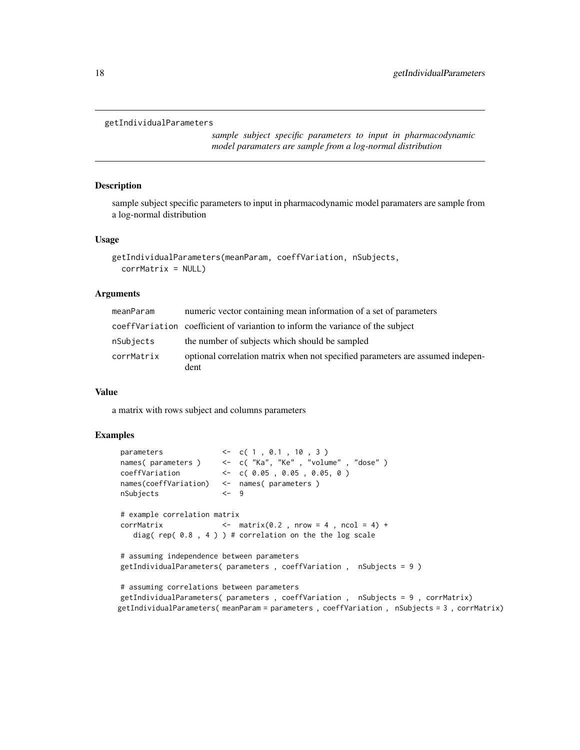```
getIndividualParameters
```
*sample subject specific parameters to input in pharmacodynamic model paramaters are sample from a log-normal distribution*

#### Description

sample subject specific parameters to input in pharmacodynamic model paramaters are sample from a log-normal distribution

## Usage

```
getIndividualParameters(meanParam, coeffVariation, nSubjects,
  corrMatrix = NULL)
```
#### Arguments

| meanParam  | numeric vector containing mean information of a set of parameters                      |
|------------|----------------------------------------------------------------------------------------|
|            | coeff Variation coefficient of variantion to inform the variance of the subject        |
| nSubjects  | the number of subjects which should be sampled                                         |
| corrMatrix | optional correlation matrix when not specified parameters are assumed indepen-<br>dent |

#### Value

a matrix with rows subject and columns parameters

## Examples

```
parameters <- c( 1, 0.1, 10, 3)
names( parameters ) <- c( "Ka", "Ke" , "volume" , "dose" )
coeffVariation <- c( 0.05 , 0.05 , 0.05, 0 )
names(coeffVariation) <- names( parameters )
nSubjects <- 9
# example correlation matrix
corrMatrix <- matrix(0.2, nrow = 4, ncol = 4) +
   diag( rep( 0.8 , 4 ) ) # correlation on the the log scale
# assuming independence between parameters
getIndividualParameters( parameters , coeffVariation , nSubjects = 9 )
# assuming correlations between parameters
getIndividualParameters( parameters , coeffVariation , nSubjects = 9 , corrMatrix)
getIndividualParameters( meanParam = parameters , coeffVariation , nSubjects = 3 , corrMatrix)
```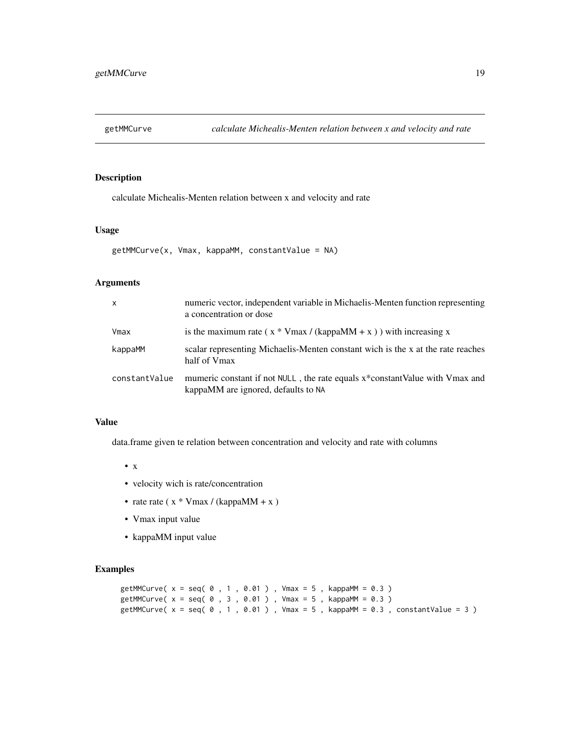<span id="page-18-1"></span><span id="page-18-0"></span>

calculate Michealis-Menten relation between x and velocity and rate

# Usage

```
getMMCurve(x, Vmax, kappaMM, constantValue = NA)
```
## Arguments

| $\mathsf{x}$  | numeric vector, independent variable in Michaelis-Menten function representing<br>a concentration or dose          |
|---------------|--------------------------------------------------------------------------------------------------------------------|
| Vmax          | is the maximum rate ( $x * V$ max / (kappaMM + x)) with increasing x                                               |
| kappaMM       | scalar representing Michaelis-Menten constant wich is the x at the rate reaches<br>half of Vmax                    |
| constantValue | mumeric constant if not NULL, the rate equals x*constantValue with Vmax and<br>kappaMM are ignored, defaults to NA |

# Value

data.frame given te relation between concentration and velocity and rate with columns

- x
- velocity wich is rate/concentration
- rate rate ( $x * V$ max / (kappaMM + x )
- Vmax input value
- kappaMM input value

## Examples

```
getMMCurve( x = seq( 0 , 1 , 0.01 ), Vmax = 5, kappaMM = 0.3 )getMMCurve( x = seq( 0 , 3 , 0.01 ), Vmax = 5, kappaMM = 0.3 )getMMCurve(x = seq( 0, 1, 0.01 ), Vmax = 5, kappaMM = 0.3, constantValue = 3)
```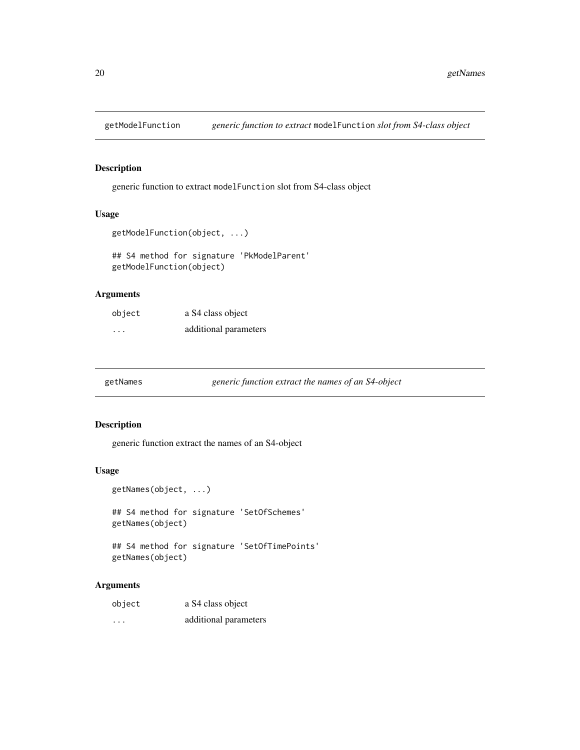<span id="page-19-0"></span>

generic function to extract modelFunction slot from S4-class object

# Usage

```
getModelFunction(object, ...)
```
## S4 method for signature 'PkModelParent' getModelFunction(object)

#### Arguments

| object                  | a S4 class object     |
|-------------------------|-----------------------|
| $\cdot$ $\cdot$ $\cdot$ | additional parameters |

| getNames |  |
|----------|--|
|----------|--|

| getNames |  |  |  | generic function extract the names of an S4-object |
|----------|--|--|--|----------------------------------------------------|
|          |  |  |  |                                                    |

## Description

generic function extract the names of an S4-object

## Usage

```
getNames(object, ...)
## S4 method for signature 'SetOfSchemes'
getNames(object)
```

```
## S4 method for signature 'SetOfTimePoints'
getNames(object)
```

| object   | a S4 class object     |
|----------|-----------------------|
| $\cdots$ | additional parameters |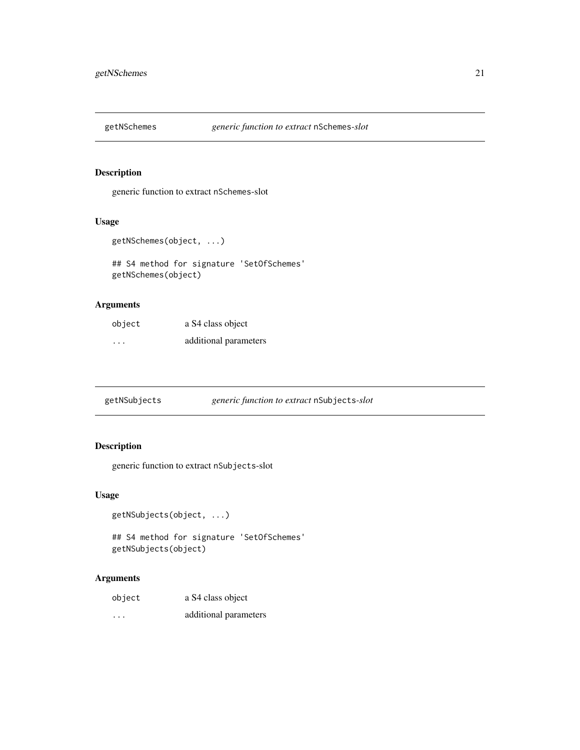<span id="page-20-0"></span>

generic function to extract nSchemes-slot

## Usage

```
getNSchemes(object, ...)
```
## S4 method for signature 'SetOfSchemes' getNSchemes(object)

# Arguments

| object  | a S4 class object     |
|---------|-----------------------|
| $\cdot$ | additional parameters |

getNSubjects *generic function to extract* nSubjects*-slot*

# Description

generic function to extract nSubjects-slot

## Usage

```
getNSubjects(object, ...)
```

```
## S4 method for signature 'SetOfSchemes'
getNSubjects(object)
```

| object   | a S4 class object     |
|----------|-----------------------|
| $\cdots$ | additional parameters |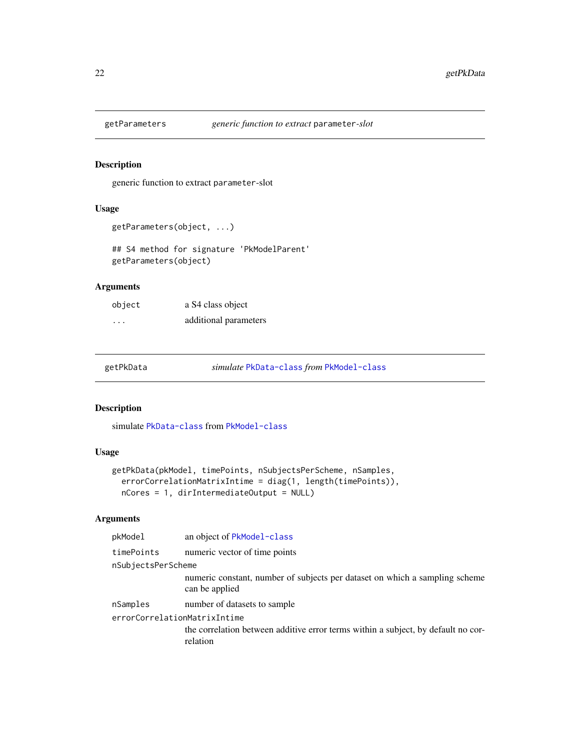<span id="page-21-0"></span>

generic function to extract parameter-slot

# Usage

```
getParameters(object, ...)
```
## S4 method for signature 'PkModelParent' getParameters(object)

# Arguments

| object | a S4 class object     |
|--------|-----------------------|
| .      | additional parameters |

| getPkData | simulate PkData-class from PkModel-class |  |
|-----------|------------------------------------------|--|
|           |                                          |  |

## Description

simulate [PkData-class](#page-30-1) from [PkModel-class](#page-31-1)

## Usage

```
getPkData(pkModel, timePoints, nSubjectsPerScheme, nSamples,
 errorCorrelationMatrixIntime = diag(1, length(timePoints)),
 nCores = 1, dirIntermediateOutput = NULL)
```

| an object of PkModel-class                                                                    |
|-----------------------------------------------------------------------------------------------|
| numeric vector of time points                                                                 |
| nSubjectsPerScheme                                                                            |
| numeric constant, number of subjects per dataset on which a sampling scheme<br>can be applied |
| number of datasets to sample                                                                  |
| errorCorrelationMatrixIntime                                                                  |
| the correlation between additive error terms within a subject, by default no cor-<br>relation |
|                                                                                               |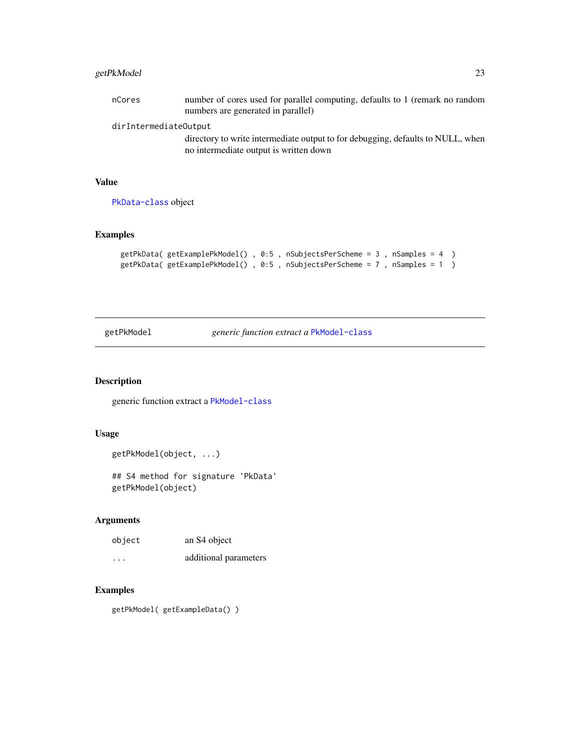# <span id="page-22-0"></span>getPkModel 23

| nCores                | number of cores used for parallel computing, defaults to 1 (remark no random<br>numbers are generated in parallel) |
|-----------------------|--------------------------------------------------------------------------------------------------------------------|
| dirIntermediateOutput |                                                                                                                    |
|                       | directory to write intermediate output to for debugging, defaults to NULL, when                                    |
|                       | no intermediate output is written down                                                                             |

# Value

[PkData-class](#page-30-1) object

# Examples

```
getPkData( getExamplePkModel() , 0:5 , nSubjectsPerScheme = 3 , nSamples = 4 )
getPkData( getExamplePkModel() , 0:5 , nSubjectsPerScheme = 7 , nSamples = 1 )
```
getPkModel *generic function extract a* [PkModel-class](#page-31-1)

# Description

generic function extract a [PkModel-class](#page-31-1)

# Usage

getPkModel(object, ...)

## S4 method for signature 'PkData' getPkModel(object)

#### Arguments

| object  | an S4 object          |
|---------|-----------------------|
| $\cdot$ | additional parameters |

## Examples

getPkModel( getExampleData() )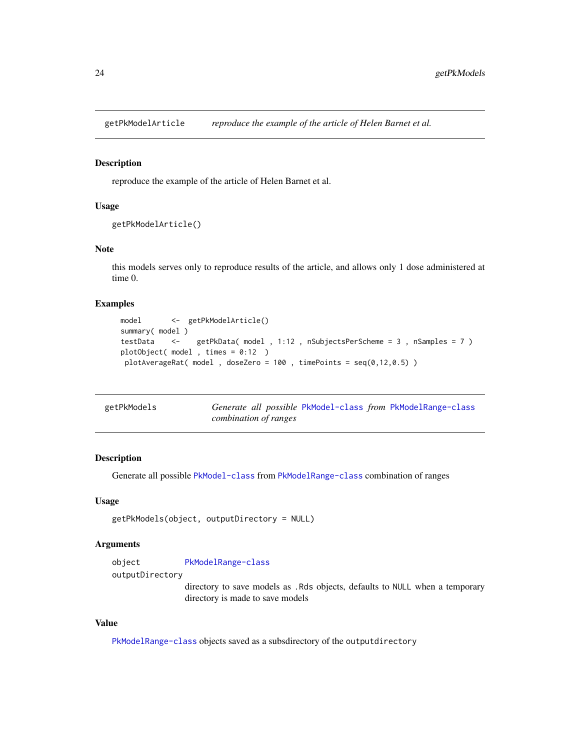<span id="page-23-0"></span>getPkModelArticle *reproduce the example of the article of Helen Barnet et al.*

#### Description

reproduce the example of the article of Helen Barnet et al.

## Usage

```
getPkModelArticle()
```
## Note

this models serves only to reproduce results of the article, and allows only 1 dose administered at time 0.

# Examples

```
model <- getPkModelArticle()
summary( model )
testData <- getPkData( model , 1:12 , nSubjectsPerScheme = 3 , nSamples = 7 )
plotObject( model , times = 0:12 )
plotAverageRat( model, doseZero = 100, timePoints = seq(0, 12, 0.5))
```

| getPkModels | Generate all possible PkModel-class from PkModelRange-class |
|-------------|-------------------------------------------------------------|
|             | combination of ranges                                       |

# Description

Generate all possible [PkModel-class](#page-31-1) from [PkModelRange-class](#page-31-2) combination of ranges

#### Usage

```
getPkModels(object, outputDirectory = NULL)
```
#### Arguments

object [PkModelRange-class](#page-31-2) outputDirectory

> directory to save models as .Rds objects, defaults to NULL when a temporary directory is made to save models

# Value

[PkModelRange-class](#page-31-2) objects saved as a subsdirectory of the outputdirectory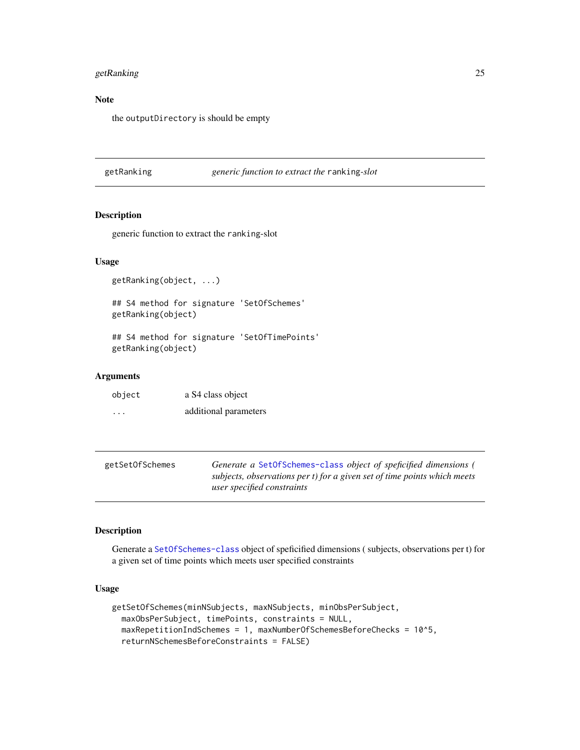# <span id="page-24-0"></span>getRanking 25

# Note

the outputDirectory is should be empty

getRanking *generic function to extract the* ranking*-slot*

# Description

generic function to extract the ranking-slot

## Usage

getRanking(object, ...)

## S4 method for signature 'SetOfSchemes' getRanking(object)

## S4 method for signature 'SetOfTimePoints' getRanking(object)

## Arguments

| object | a S4 class object     |
|--------|-----------------------|
| .      | additional parameters |

| getSetOfSchemes | Generate a SetOfSchemes-class object of speficified dimensions (         |
|-----------------|--------------------------------------------------------------------------|
|                 | subjects, observations per t) for a given set of time points which meets |
|                 | user specified constraints                                               |

# Description

Generate a [SetOfSchemes-class](#page-41-1) object of speficified dimensions ( subjects, observations per t) for a given set of time points which meets user specified constraints

# Usage

```
getSetOfSchemes(minNSubjects, maxNSubjects, minObsPerSubject,
 maxObsPerSubject, timePoints, constraints = NULL,
 maxRepetitionIndSchemes = 1, maxNumberOfSchemesBeforeChecks = 10^5,
  returnNSchemesBeforeConstraints = FALSE)
```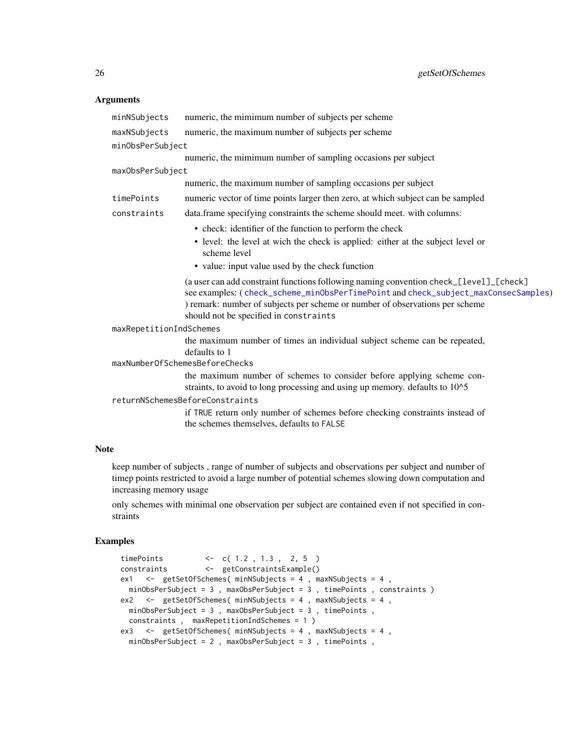## <span id="page-25-0"></span>Arguments

| minNSubjects            | numeric, the mimimum number of subjects per scheme                                                                                                                                                                                                                                                     |  |
|-------------------------|--------------------------------------------------------------------------------------------------------------------------------------------------------------------------------------------------------------------------------------------------------------------------------------------------------|--|
| maxNSubjects            | numeric, the maximum number of subjects per scheme                                                                                                                                                                                                                                                     |  |
| minObsPerSubject        |                                                                                                                                                                                                                                                                                                        |  |
|                         | numeric, the mimimum number of sampling occasions per subject                                                                                                                                                                                                                                          |  |
| maxObsPerSubject        |                                                                                                                                                                                                                                                                                                        |  |
|                         | numeric, the maximum number of sampling occasions per subject                                                                                                                                                                                                                                          |  |
| timePoints              | numeric vector of time points larger then zero, at which subject can be sampled                                                                                                                                                                                                                        |  |
| constraints             | data.frame specifying constraints the scheme should meet. with columns:                                                                                                                                                                                                                                |  |
|                         | • check: identifier of the function to perform the check                                                                                                                                                                                                                                               |  |
|                         | • level: the level at wich the check is applied: either at the subject level or<br>scheme level                                                                                                                                                                                                        |  |
|                         | • value: input value used by the check function                                                                                                                                                                                                                                                        |  |
|                         | (a user can add constraint functions following naming convention check_[level]_[check]<br>see examples: (check_scheme_minObsPerTimePoint and check_subject_maxConsecSamples)<br>) remark: number of subjects per scheme or number of observations per scheme<br>should not be specified in constraints |  |
| maxRepetitionIndSchemes |                                                                                                                                                                                                                                                                                                        |  |
|                         | the maximum number of times an individual subject scheme can be repeated,<br>defaults to 1                                                                                                                                                                                                             |  |
|                         | maxNumberOfSchemesBeforeChecks                                                                                                                                                                                                                                                                         |  |
|                         | the maximum number of schemes to consider before applying scheme con-<br>straints, to avoid to long processing and using up memory. defaults to 10^5                                                                                                                                                   |  |
|                         | returnNSchemesBeforeConstraints                                                                                                                                                                                                                                                                        |  |
|                         | if TRUE return only number of schemes before checking constraints instead of<br>the schemes themselves, defaults to FALSE                                                                                                                                                                              |  |
|                         |                                                                                                                                                                                                                                                                                                        |  |

## Note

keep number of subjects , range of number of subjects and observations per subject and number of timep points restricted to avoid a large number of potential schemes slowing down computation and increasing memory usage

only schemes with minimal one observation per subject are contained even if not specified in constraints

# Examples

```
timePoints <- c( 1.2, 1.3, 2, 5)<br>constraints <- getConstraintsExample()
                   constraints <- getConstraintsExample()
ex1 <- getSetOfSchemes( minNSubjects = 4, maxNSubjects = 4,
 minObsPerSubject = 3 , maxObsPerSubject = 3 , timePoints , constraints )
ex2 <- getSetOfSchemes( minNSubjects = 4, maxNSubjects = 4,
 minObsPerSubject = 3 , maxObsPerSubject = 3 , timePoints ,
 constraints , maxRepetitionIndSchemes = 1 )
ex3 <- getSetOfSchemes( minNSubjects = 4, maxNSubjects = 4,
 minObsPerSubject = 2 , maxObsPerSubject = 3 , timePoints ,
```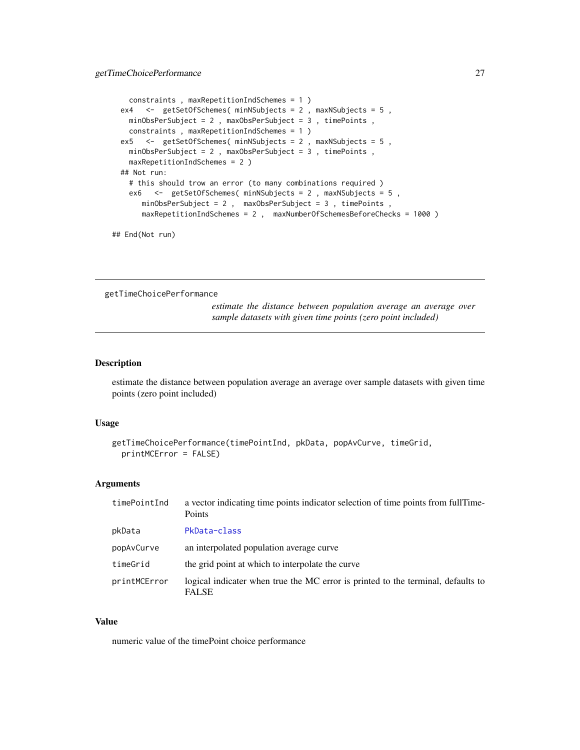```
constraints , maxRepetitionIndSchemes = 1 )
ex4 <- getSetOfSchemes( minNSubjects = 2, maxNSubjects = 5,
 minObsPerSubject = 2 , maxObsPerSubject = 3 , timePoints ,
 constraints , maxRepetitionIndSchemes = 1 )
ex5 <- getSetOfSchemes( minNSubjects = 2 , maxNSubjects = 5 ,
 minObsPerSubject = 2 , maxObsPerSubject = 3 , timePoints ,
 maxRepetitionIndSchemes = 2 )
## Not run:
 # this should trow an error (to many combinations required )
 ex6 <- getSetOfSchemes( minNSubjects = 2, maxNSubjects = 5,
    minObsPerSubject = 2 , maxObsPerSubject = 3 , timePoints ,
    maxRepetitionIndSchemes = 2 , maxNumberOfSchemesBeforeChecks = 1000 )
```
## End(Not run)

getTimeChoicePerformance

*estimate the distance between population average an average over sample datasets with given time points (zero point included)*

## Description

estimate the distance between population average an average over sample datasets with given time points (zero point included)

## Usage

```
getTimeChoicePerformance(timePointInd, pkData, popAvCurve, timeGrid,
 printMCError = FALSE)
```
# Arguments

| timePointInd | a vector indicating time points indicator selection of time points from full Time-<br>Points     |
|--------------|--------------------------------------------------------------------------------------------------|
| pkData       | PkData-class                                                                                     |
| popAvCurve   | an interpolated population average curve                                                         |
| timeGrid     | the grid point at which to interpolate the curve                                                 |
| printMCError | logical indicater when true the MC error is printed to the terminal, defaults to<br><b>FALSE</b> |

#### Value

numeric value of the timePoint choice performance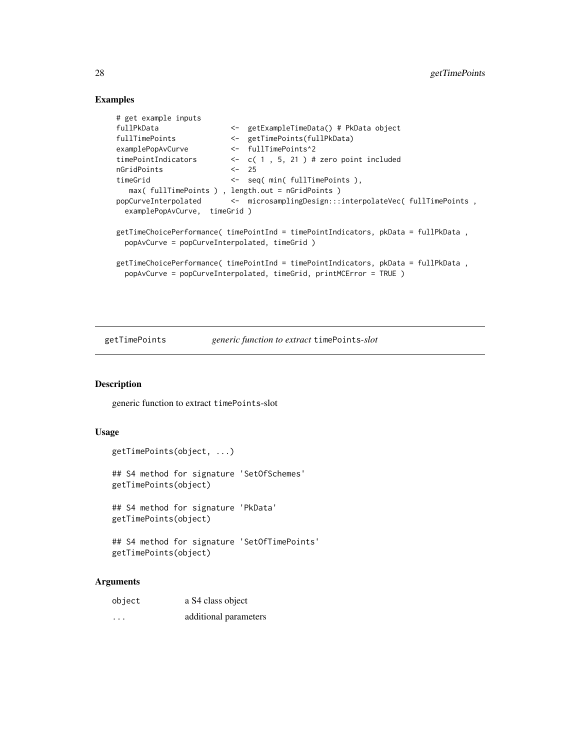## Examples

```
# get example inputs
fullPkData <- getExampleTimeData() # PkData object
fullTimePoints <- getTimePoints(fullPkData)
examplePopAvCurve <- fullTimePoints^2
timePointIndicators <- c( 1 , 5, 21 ) # zero point included
nGridPoints <- 25
timeGrid <- seq( min( fullTimePoints ),
  max( fullTimePoints ) , length.out = nGridPoints )
popCurveInterpolated <- microsamplingDesign:::interpolateVec( fullTimePoints ,
 examplePopAvCurve, timeGrid )
getTimeChoicePerformance( timePointInd = timePointIndicators, pkData = fullPkData ,
 popAvCurve = popCurveInterpolated, timeGrid )
getTimeChoicePerformance( timePointInd = timePointIndicators, pkData = fullPkData ,
 popAvCurve = popCurveInterpolated, timeGrid, printMCError = TRUE )
```
getTimePoints *generic function to extract* timePoints*-slot*

## Description

generic function to extract timePoints-slot

#### Usage

```
getTimePoints(object, ...)
## S4 method for signature 'SetOfSchemes'
getTimePoints(object)
## S4 method for signature 'PkData'
getTimePoints(object)
## S4 method for signature 'SetOfTimePoints'
```

```
getTimePoints(object)
```

| object | a S4 class object     |
|--------|-----------------------|
|        | additional parameters |

<span id="page-27-0"></span>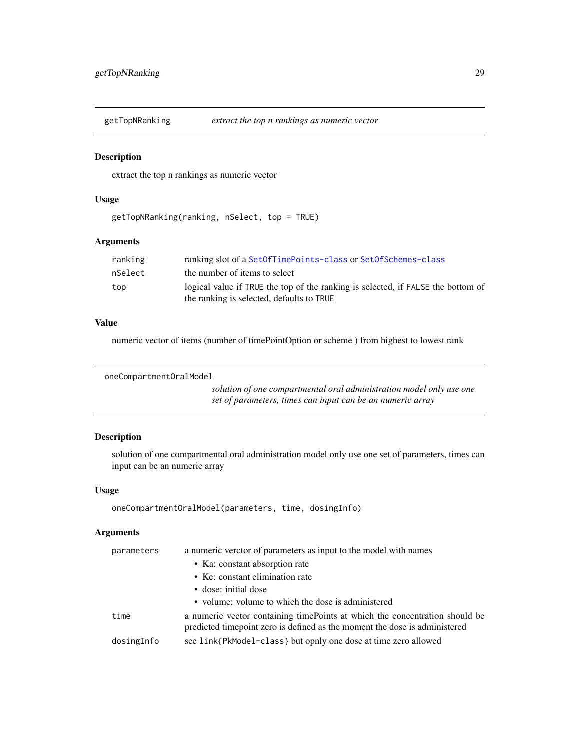<span id="page-28-0"></span>getTopNRanking *extract the top n rankings as numeric vector*

## Description

extract the top n rankings as numeric vector

#### Usage

getTopNRanking(ranking, nSelect, top = TRUE)

#### Arguments

| ranking | ranking slot of a SetOfTimePoints-class or SetOfSchemes-class                                                                 |
|---------|-------------------------------------------------------------------------------------------------------------------------------|
| nSelect | the number of items to select                                                                                                 |
| top     | logical value if TRUE the top of the ranking is selected, if FALSE the bottom of<br>the ranking is selected, defaults to TRUE |

# Value

numeric vector of items (number of timePointOption or scheme ) from highest to lowest rank

```
oneCompartmentOralModel
```
*solution of one compartmental oral administration model only use one set of parameters, times can input can be an numeric array*

# Description

solution of one compartmental oral administration model only use one set of parameters, times can input can be an numeric array

# Usage

```
oneCompartmentOralModel(parameters, time, dosingInfo)
```

| a numeric vector containing time points at which the concentration should be<br>predicted timepoint zero is defined as the moment the dose is administered |
|------------------------------------------------------------------------------------------------------------------------------------------------------------|
|                                                                                                                                                            |
|                                                                                                                                                            |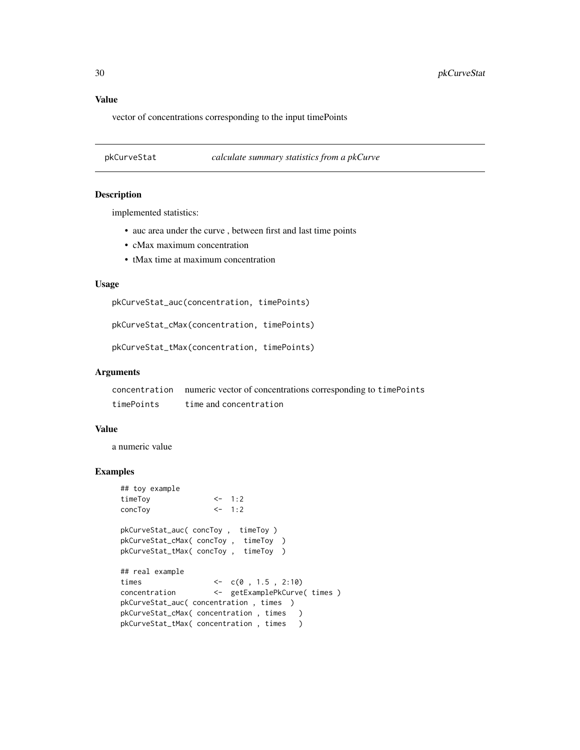# <span id="page-29-0"></span>Value

vector of concentrations corresponding to the input timePoints

<span id="page-29-1"></span>pkCurveStat *calculate summary statistics from a pkCurve*

#### Description

implemented statistics:

- auc area under the curve , between first and last time points
- cMax maximum concentration
- tMax time at maximum concentration

#### Usage

pkCurveStat\_auc(concentration, timePoints)

pkCurveStat\_cMax(concentration, timePoints)

pkCurveStat\_tMax(concentration, timePoints)

#### Arguments

concentration numeric vector of concentrations corresponding to timePoints timePoints time and concentration

## Value

a numeric value

#### Examples

```
## toy example
timeToy <- 1:2
concToy <- 1:2
pkCurveStat_auc( concToy , timeToy )
pkCurveStat_cMax( concToy , timeToy )
pkCurveStat_tMax( concToy , timeToy )
## real example
times <-c(0, 1.5, 2:10)concentration <- getExamplePkCurve( times )
pkCurveStat_auc( concentration , times )
pkCurveStat_cMax( concentration , times )
pkCurveStat_tMax( concentration, times )
```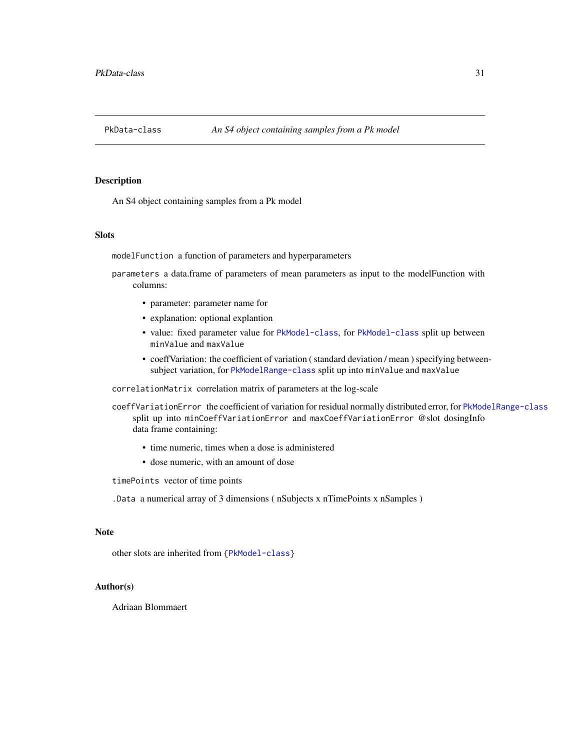<span id="page-30-1"></span><span id="page-30-0"></span>

An S4 object containing samples from a Pk model

#### Slots

modelFunction a function of parameters and hyperparameters

parameters a data.frame of parameters of mean parameters as input to the modelFunction with columns:

- parameter: parameter name for
- explanation: optional explantion
- value: fixed parameter value for [PkModel-class](#page-31-1), for [PkModel-class](#page-31-1) split up between minValue and maxValue
- coeffVariation: the coefficient of variation ( standard deviation / mean ) specifying betweensubject variation, for [PkModelRange-class](#page-31-2) split up into minValue and maxValue

correlationMatrix correlation matrix of parameters at the log-scale

coeffVariationError the coefficient of variation for residual normally distributed error, for [PkModelRange-class](#page-31-2) split up into minCoeffVariationError and maxCoeffVariationError @slot dosingInfo data frame containing:

- time numeric, times when a dose is administered
- dose numeric, with an amount of dose

## timePoints vector of time points

.Data a numerical array of 3 dimensions ( nSubjects x nTimePoints x nSamples )

## Note

other slots are inherited from [{PkModel-class}](#page-31-1)

#### Author(s)

Adriaan Blommaert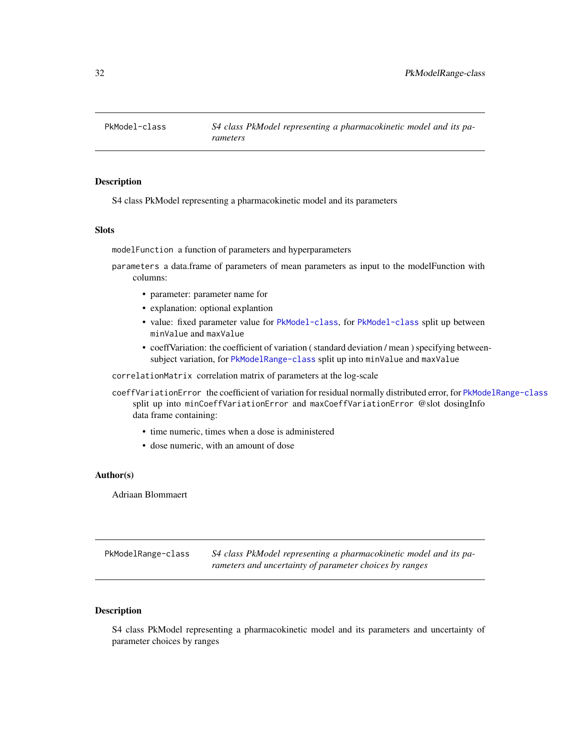<span id="page-31-1"></span><span id="page-31-0"></span>PkModel-class *S4 class PkModel representing a pharmacokinetic model and its parameters*

## Description

S4 class PkModel representing a pharmacokinetic model and its parameters

## **Slots**

modelFunction a function of parameters and hyperparameters

parameters a data.frame of parameters of mean parameters as input to the modelFunction with columns:

- parameter: parameter name for
- explanation: optional explantion
- value: fixed parameter value for [PkModel-class](#page-31-1), for [PkModel-class](#page-31-1) split up between minValue and maxValue
- coeffVariation: the coefficient of variation ( standard deviation / mean ) specifying betweensubject variation, for [PkModelRange-class](#page-31-2) split up into minValue and maxValue

correlationMatrix correlation matrix of parameters at the log-scale

coeffVariationError the coefficient of variation for residual normally distributed error, for [PkModelRange-class](#page-31-2) split up into minCoeffVariationError and maxCoeffVariationError @slot dosingInfo data frame containing:

- time numeric, times when a dose is administered
- dose numeric, with an amount of dose

#### Author(s)

Adriaan Blommaert

<span id="page-31-2"></span>PkModelRange-class *S4 class PkModel representing a pharmacokinetic model and its parameters and uncertainty of parameter choices by ranges*

# **Description**

S4 class PkModel representing a pharmacokinetic model and its parameters and uncertainty of parameter choices by ranges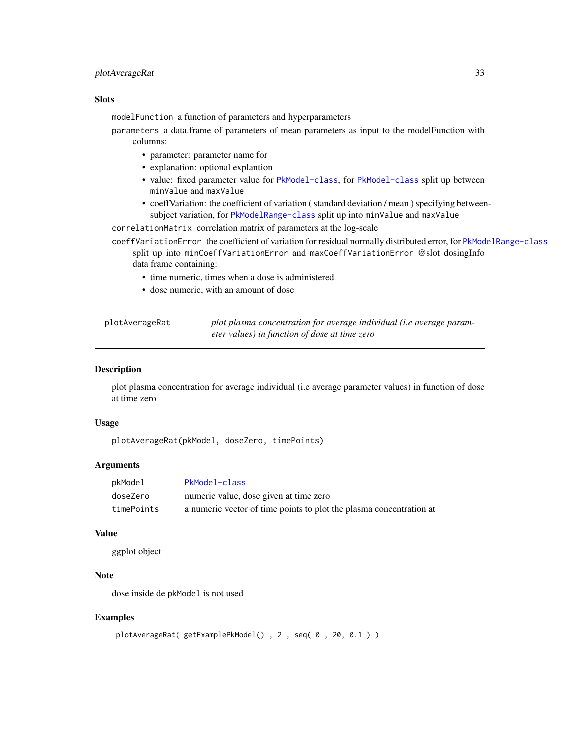# <span id="page-32-0"></span>plotAverageRat 33

## Slots

modelFunction a function of parameters and hyperparameters

- parameters a data.frame of parameters of mean parameters as input to the modelFunction with columns:
	- parameter: parameter name for
	- explanation: optional explantion
	- value: fixed parameter value for [PkModel-class](#page-31-1), for [PkModel-class](#page-31-1) split up between minValue and maxValue
	- coeffVariation: the coefficient of variation ( standard deviation / mean ) specifying betweensubject variation, for [PkModelRange-class](#page-31-2) split up into minValue and maxValue

correlationMatrix correlation matrix of parameters at the log-scale

- coeffVariationError the coefficient of variation for residual normally distributed error, for [PkModelRange-class](#page-31-2) split up into minCoeffVariationError and maxCoeffVariationError @slot dosingInfo data frame containing:
	- time numeric, times when a dose is administered
	- dose numeric, with an amount of dose

| plotAverageRat | plot plasma concentration for average individual (i.e average param- |
|----------------|----------------------------------------------------------------------|
|                | eter values) in function of dose at time zero                        |

# Description

plot plasma concentration for average individual (i.e average parameter values) in function of dose at time zero

## Usage

```
plotAverageRat(pkModel, doseZero, timePoints)
```
## Arguments

| pkModel    | PkModel-class                                                       |
|------------|---------------------------------------------------------------------|
| doseZero   | numeric value, dose given at time zero                              |
| timePoints | a numeric vector of time points to plot the plasma concentration at |

## Value

ggplot object

## Note

dose inside de pkModel is not used

#### Examples

```
plotAverageRat( getExamplePkModel(), 2, seq( 0, 20, 0.1))
```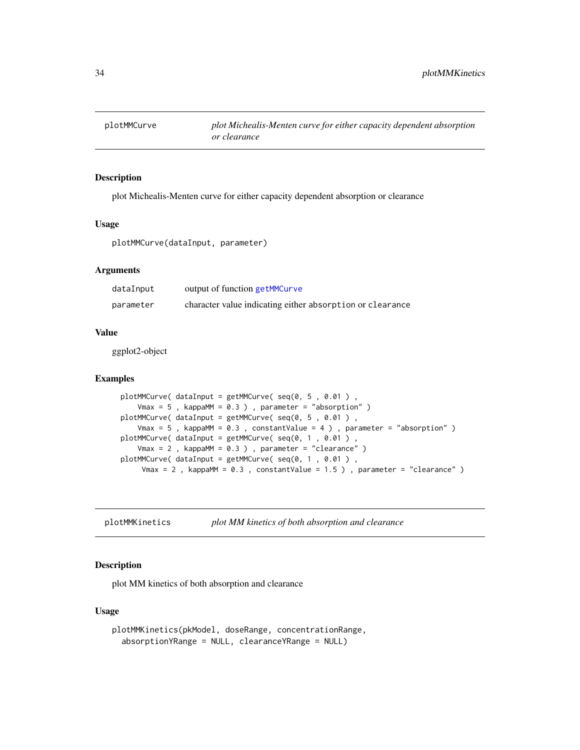<span id="page-33-0"></span>

plot Michealis-Menten curve for either capacity dependent absorption or clearance

#### Usage

plotMMCurve(dataInput, parameter)

# Arguments

| dataInput | output of function getMMCurve                             |
|-----------|-----------------------------------------------------------|
| parameter | character value indicating either absorption or clearance |

## Value

ggplot2-object

## Examples

```
plotMMCurve( dataInput = getMMCurve( seq(0, 5 , 0.01 ) ,
   Vmax = 5, kappaMM = 0.3), parameter = "absorption")
plotMMCurve( dataInput = getMMCurve( seq(0, 5 , 0.01 ) ,
   Vmax = 5, kappaMM = 0.3, constantValue = 4), parameter = "absorption")
plotMMCurve( dataInput = getMMCurve( seq(0, 1, 0.01),
   Vmax = 2 , kappaMM = 0.3 ) , parameter = "clearance" )
plotMMCurve( dataInput = getMMCurve( seq(0, 1 , 0.01 ) ,
    Vmax = 2, kappaMM = 0.3, constantValue = 1.5), parameter = "clearance")
```
plotMMKinetics *plot MM kinetics of both absorption and clearance*

## Description

plot MM kinetics of both absorption and clearance

#### Usage

```
plotMMKinetics(pkModel, doseRange, concentrationRange,
  absorptionYRange = NULL, clearanceYRange = NULL)
```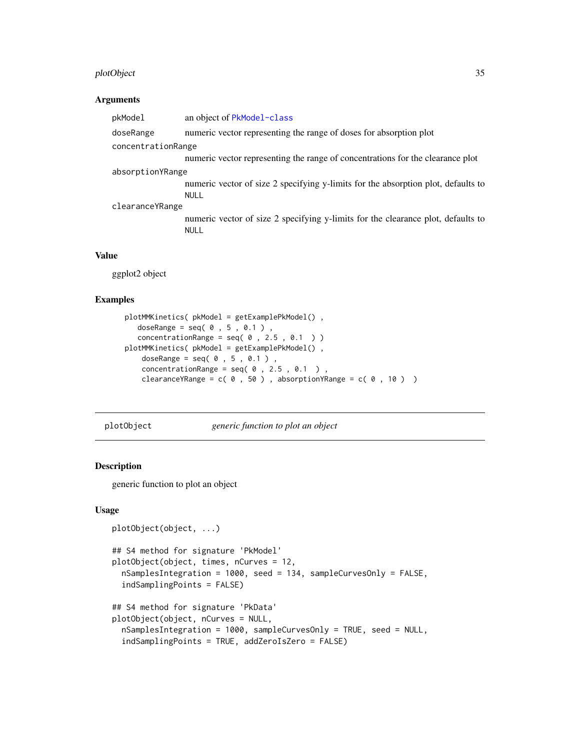# <span id="page-34-0"></span>plotObject 35

#### Arguments

| pkModel            | an object of PkModel-class                                                                      |
|--------------------|-------------------------------------------------------------------------------------------------|
| doseRange          | numeric vector representing the range of doses for absorption plot                              |
| concentrationRange |                                                                                                 |
|                    | numeric vector representing the range of concentrations for the clearance plot                  |
| absorptionYRange   |                                                                                                 |
|                    | numeric vector of size 2 specifying y-limits for the absorption plot, defaults to<br>NULL       |
| clearanceYRange    |                                                                                                 |
|                    | numeric vector of size 2 specifying y-limits for the clearance plot, defaults to<br><b>NULL</b> |
|                    |                                                                                                 |

# Value

ggplot2 object

## Examples

```
plotMMKinetics( pkModel = getExamplePkModel() ,
  doseRange = seq( 0 , 5 , 0.1 )concentrationRange = seq( 0 , 2.5 , 0.1 ) )plotMMKinetics( pkModel = getExamplePkModel() ,
   doseRange = seq( 0 , 5 , 0.1 )concentrationRange = seq( 0 , 2.5 , 0.1 ),
   clearanceYRange = c( 0 , 50 ), absorptionYRange = c( 0 , 10 )
```
plotObject *generic function to plot an object*

# Description

generic function to plot an object

## Usage

```
plotObject(object, ...)
```

```
## S4 method for signature 'PkModel'
plotObject(object, times, nCurves = 12,
 nSamplesIntegration = 1000, seed = 134, sampleCurvesOnly = FALSE,
  indSamplingPoints = FALSE)
```

```
## S4 method for signature 'PkData'
plotObject(object, nCurves = NULL,
 nSamplesIntegration = 1000, sampleCurvesOnly = TRUE, seed = NULL,
  indSamplingPoints = TRUE, addZeroIsZero = FALSE)
```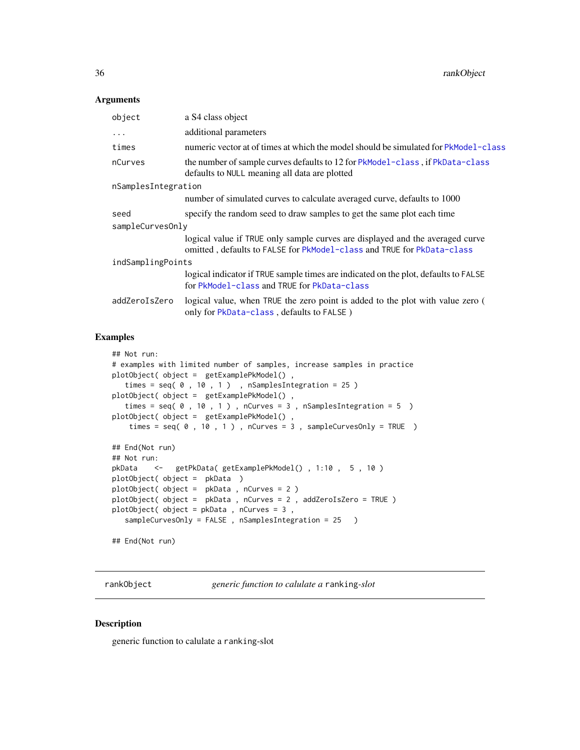<span id="page-35-0"></span>36 rankObject

#### Arguments

| object              | a S4 class object                                                                                                                                       |  |
|---------------------|---------------------------------------------------------------------------------------------------------------------------------------------------------|--|
| .                   | additional parameters                                                                                                                                   |  |
| times               | numeric vector at of times at which the model should be simulated for PkModel-class                                                                     |  |
| nCurves             | the number of sample curves defaults to 12 for PkModel-class, if PkData-class<br>defaults to NULL meaning all data are plotted                          |  |
| nSamplesIntegration |                                                                                                                                                         |  |
|                     | number of simulated curves to calculate averaged curve, defaults to 1000                                                                                |  |
| seed                | specify the random seed to draw samples to get the same plot each time                                                                                  |  |
| sampleCurvesOnly    |                                                                                                                                                         |  |
|                     | logical value if TRUE only sample curves are displayed and the averaged curve<br>omitted, defaults to FALSE for PkModel-class and TRUE for PkData-class |  |
| indSamplingPoints   |                                                                                                                                                         |  |
|                     | logical indicator if TRUE sample times are indicated on the plot, defaults to FALSE<br>for PkModel-class and TRUE for PkData-class                      |  |
| addZeroIsZero       | logical value, when TRUE the zero point is added to the plot with value zero (<br>only for PkData-class, defaults to FALSE)                             |  |
|                     |                                                                                                                                                         |  |

#### Examples

```
## Not run:
# examples with limited number of samples, increase samples in practice
plotObject( object = getExamplePkModel() ,
  times = seq( 0 , 10 , 1 ), nSamplesIntegration = 25)
plotObject( object = getExamplePkModel() ,
   times = seq( 0, 10, 1), nCurves = 3, nSamplesIntegration = 5)
plotObject( object = getExamplePkModel() ,
   times = seq( 0 , 10 , 1 ), nCurves = 3, sampleCurvesOnly = TRUE )
## End(Not run)
## Not run:
pkData <- getPkData( getExamplePkModel() , 1:10 , 5 , 10 )
plotObject( object = pkData )
plotObject( object = pkData , nCurves = 2 )
plotObject( object = pkData , nCurves = 2 , addZeroIsZero = TRUE )
plotObject( object = pkData , nCurves = 3 ,
  sampleCurvesOnly = FALSE, nSamplesIntegration = 25 )
## End(Not run)
```
<span id="page-35-1"></span>rankObject *generic function to calulate a* ranking*-slot*

#### Description

generic function to calulate a ranking-slot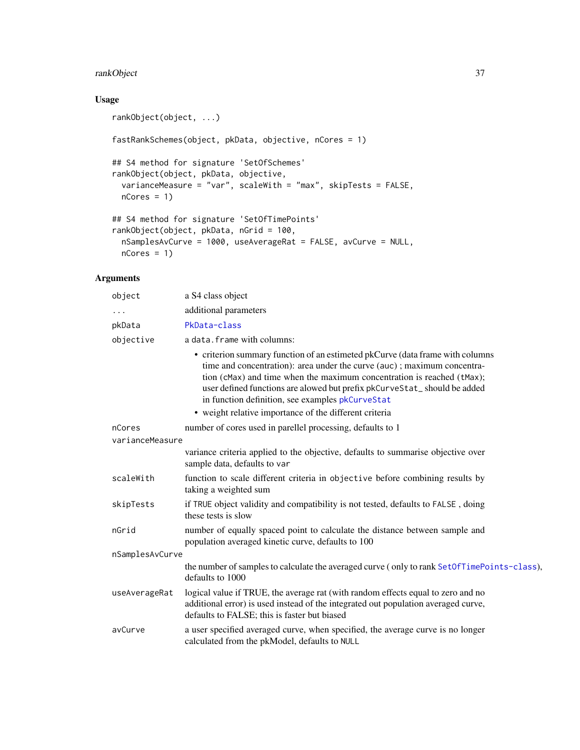# <span id="page-36-0"></span>rankObject 37

# Usage

```
rankObject(object, ...)
fastRankSchemes(object, pkData, objective, nCores = 1)
## S4 method for signature 'SetOfSchemes'
rankObject(object, pkData, objective,
 varianceMeasure = "var", scaleWith = "max", skipTests = FALSE,
 nCores = 1)
## S4 method for signature 'SetOfTimePoints'
rankObject(object, pkData, nGrid = 100,
 nSamplesAvCurve = 1000, useAverageRat = FALSE, avCurve = NULL,
 nCores = 1
```

| object          | a S4 class object                                                                                                                                                                                                                                                                                                                                                  |  |
|-----------------|--------------------------------------------------------------------------------------------------------------------------------------------------------------------------------------------------------------------------------------------------------------------------------------------------------------------------------------------------------------------|--|
|                 | additional parameters                                                                                                                                                                                                                                                                                                                                              |  |
| pkData          | PkData-class                                                                                                                                                                                                                                                                                                                                                       |  |
| objective       | a data. frame with columns:                                                                                                                                                                                                                                                                                                                                        |  |
|                 | • criterion summary function of an estimeted pkCurve (data frame with columns<br>time and concentration): area under the curve (auc); maximum concentra-<br>tion (cMax) and time when the maximum concentration is reached (tMax);<br>user defined functions are alowed but prefix pkCurveStat_should be added<br>in function definition, see examples pkCurveStat |  |
|                 | • weight relative importance of the different criteria                                                                                                                                                                                                                                                                                                             |  |
| nCores          | number of cores used in parellel processing, defaults to 1                                                                                                                                                                                                                                                                                                         |  |
| varianceMeasure |                                                                                                                                                                                                                                                                                                                                                                    |  |
|                 | variance criteria applied to the objective, defaults to summarise objective over<br>sample data, defaults to var                                                                                                                                                                                                                                                   |  |
| scaleWith       | function to scale different criteria in objective before combining results by<br>taking a weighted sum                                                                                                                                                                                                                                                             |  |
| skipTests       | if TRUE object validity and compatibility is not tested, defaults to FALSE, doing<br>these tests is slow                                                                                                                                                                                                                                                           |  |
| nGrid           | number of equally spaced point to calculate the distance between sample and<br>population averaged kinetic curve, defaults to 100                                                                                                                                                                                                                                  |  |
| nSamplesAvCurve |                                                                                                                                                                                                                                                                                                                                                                    |  |
|                 | the number of samples to calculate the averaged curve (only to rank SetOfTimePoints-class),<br>defaults to 1000                                                                                                                                                                                                                                                    |  |
| useAverageRat   | logical value if TRUE, the average rat (with random effects equal to zero and no<br>additional error) is used instead of the integrated out population averaged curve,<br>defaults to FALSE; this is faster but biased                                                                                                                                             |  |
| avCurve         | a user specified averaged curve, when specified, the average curve is no longer<br>calculated from the pkModel, defaults to NULL                                                                                                                                                                                                                                   |  |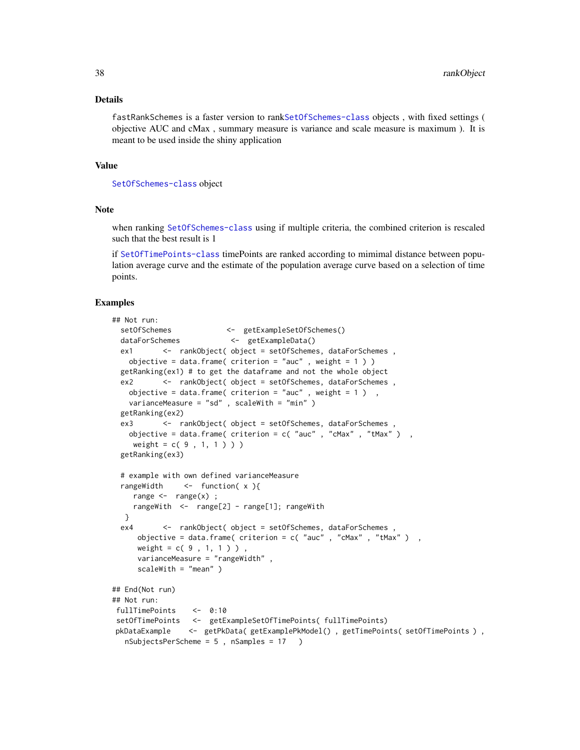#### Details

fastRankSchemes is a faster version to rank[SetOfSchemes-class](#page-41-1) objects , with fixed settings ( objective AUC and cMax , summary measure is variance and scale measure is maximum ). It is meant to be used inside the shiny application

## Value

[SetOfSchemes-class](#page-41-1) object

## Note

when ranking [SetOfSchemes-class](#page-41-1) using if multiple criteria, the combined criterion is rescaled such that the best result is 1

if [SetOfTimePoints-class](#page-42-1) timePoints are ranked according to mimimal distance between population average curve and the estimate of the population average curve based on a selection of time points.

## Examples

```
## Not run:
 setOfSchemes <- getExampleSetOfSchemes()
 dataForSchemes <- getExampleData()
 ex1 <- rankObject( object = setOfSchemes, dataForSchemes ,
   objective = data.frame( criterion = "auc", weight = 1))
 getRanking(ex1) # to get the dataframe and not the whole object
 ex2 <- rankObject( object = setOfSchemes, dataForSchemes,
   objective = data.frame( criterion = "auc", weight = 1),
   varianceMeasure = "sd" , scaleWith = "min" )
 getRanking(ex2)
 ex3 <- rankObject( object = setOfSchemes, dataForSchemes,
   objective = data.frame( criterion = c( "auc" , "cMax" , "tMax" ) ,
    weight = c( 9, 1, 1) )getRanking(ex3)
 # example with own defined varianceMeasure
 rangeWidth <- function( x ){
    range \leq range(x);
    rangeWith <- range[2] - range[1]; rangeWith
  }
 ex4 <- rankObject( object = setOfSchemes, dataForSchemes,
     objective = data.frame( criterion = c( "auc" , "cMax" , "tMax" ) ,
     weight = c( 9, 1, 1) )varianceMeasure = "rangeWidth" ,
     scaleWith = "mean" )
## End(Not run)
## Not run:
fullTimePoints <- 0:10
setOfTimePoints <- getExampleSetOfTimePoints( fullTimePoints)
pkDataExample <- getPkData( getExamplePkModel() , getTimePoints( setOfTimePoints ) ,
  nSubjectsPerScheme = 5 , nSamples = 17 )
```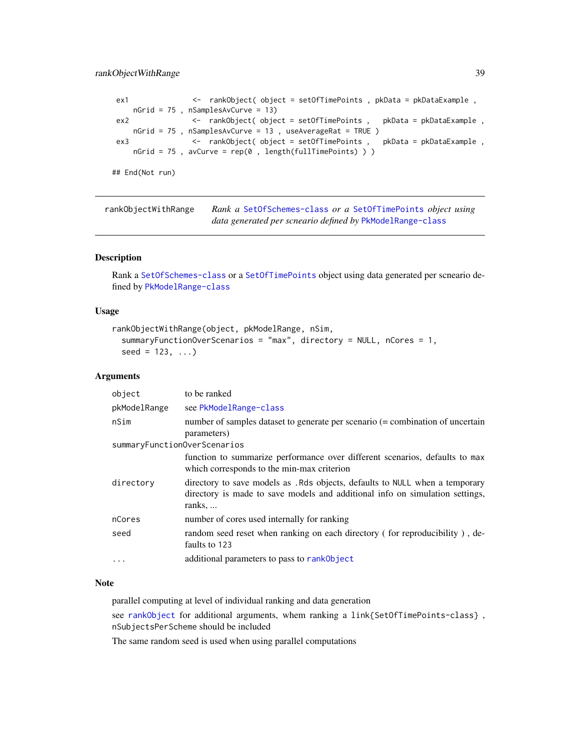# <span id="page-38-0"></span>rankObjectWithRange 39

```
ex1 <- rankObject( object = setOfTimePoints , pkData = pkDataExample ,
    nGrid = 75 , nSamplesAvCurve = 13)
ex2 <- rankObject( object = setOfTimePoints , pkData = pkDataExample ,
    nGrid = 75 , nSamplesAvCurve = 13 , useAverageRat = TRUE )
ex3 <- rankObject( object = setOfTimePoints , pkData = pkDataExample ,
    nGrid = 75 , avCurve = rep(0 , length(fullTimePoints) ) )
## End(Not run)
```

| rankObjectWithRange | Rank a SetOfSchemes-class or a SetOfTimePoints object using |
|---------------------|-------------------------------------------------------------|
|                     | data generated per scneario defined by PkModelRange-class   |

## Description

Rank a [SetOfSchemes-class](#page-41-1) or a [SetOfTimePoints](#page-42-2) object using data generated per scneario defined by [PkModelRange-class](#page-31-2)

#### Usage

```
rankObjectWithRange(object, pkModelRange, nSim,
  summaryFunctionOverScenarios = "max", directory = NULL, nCores = 1,
  seed = 123, ...
```
#### Arguments

| object                       | to be ranked                                                                                                                                                           |  |
|------------------------------|------------------------------------------------------------------------------------------------------------------------------------------------------------------------|--|
| pkModelRange                 | see PkModelRange-class                                                                                                                                                 |  |
| nSim                         | number of samples dataset to generate per scenario (= combination of uncertain<br>parameters)                                                                          |  |
| summaryFunctionOverScenarios |                                                                                                                                                                        |  |
|                              | function to summarize performance over different scenarios, defaults to max<br>which corresponds to the min-max criterion                                              |  |
| directory                    | directory to save models as . Rds objects, defaults to NULL when a temporary<br>directory is made to save models and additional info on simulation settings,<br>ranks, |  |
| nCores                       | number of cores used internally for ranking                                                                                                                            |  |
| seed                         | random seed reset when ranking on each directory (for reproducibility), de-<br>faults to 123                                                                           |  |
|                              | additional parameters to pass to rank0bject                                                                                                                            |  |

## Note

parallel computing at level of individual ranking and data generation

see [rankObject](#page-35-1) for additional arguments, whem ranking a link{SetOfTimePoints-class} , nSubjectsPerScheme should be included

The same random seed is used when using parallel computations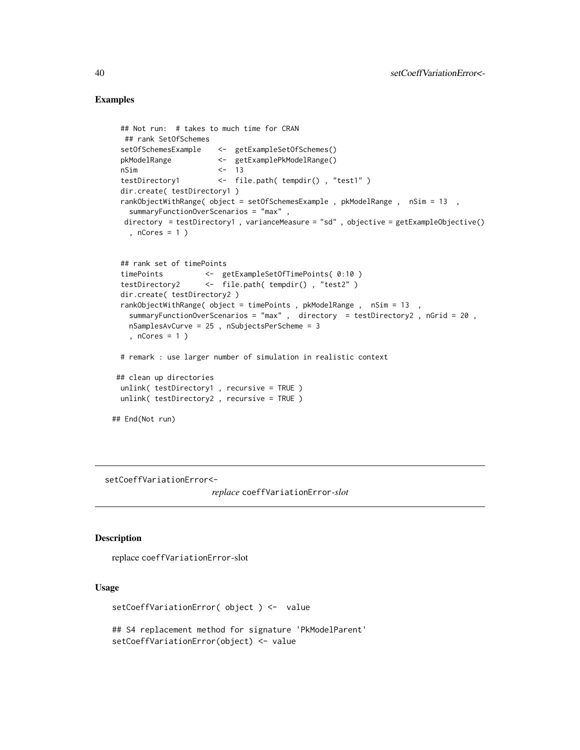## Examples

```
## Not run: # takes to much time for CRAN
  ## rank SetOfSchemes
 setOfSchemesExample <- getExampleSetOfSchemes()
 pkModelRange <- getExamplePkModelRange()
 nSim <- 13
 testDirectory1 <- file.path( tempdir() , "test1" )
 dir.create( testDirectory1 )
 rankObjectWithRange( object = setOfSchemesExample , pkModelRange , nSim = 13 ,
   summaryFunctionOverScenarios = "max" ,
  directory = testDirectory1 , varianceMeasure = "sd" , objective = getExampleObjective()
   , nCores = 1 )
 ## rank set of timePoints
 timePoints <- getExampleSetOfTimePoints( 0:10 )
 testDirectory2 <- file.path( tempdir() , "test2" )
 dir.create( testDirectory2 )
 rankObjectWithRange( object = timePoints , pkModelRange , nSim = 13 ,
   summaryFunctionOverScenarios = "max" , directory = testDirectory2 , nGrid = 20 ,
   nSamplesAvCurve = 25 , nSubjectsPerScheme = 3
   , nCores = 1 )
 # remark : use larger number of simulation in realistic context
## clean up directories
 unlink( testDirectory1 , recursive = TRUE )
 unlink( testDirectory2 , recursive = TRUE )
## End(Not run)
```
setCoeffVariationError<-

*replace* coeffVariationError*-slot*

#### Description

replace coeffVariationError-slot

# Usage

setCoeffVariationError( object ) <- value

## S4 replacement method for signature 'PkModelParent' setCoeffVariationError(object) <- value

<span id="page-39-0"></span>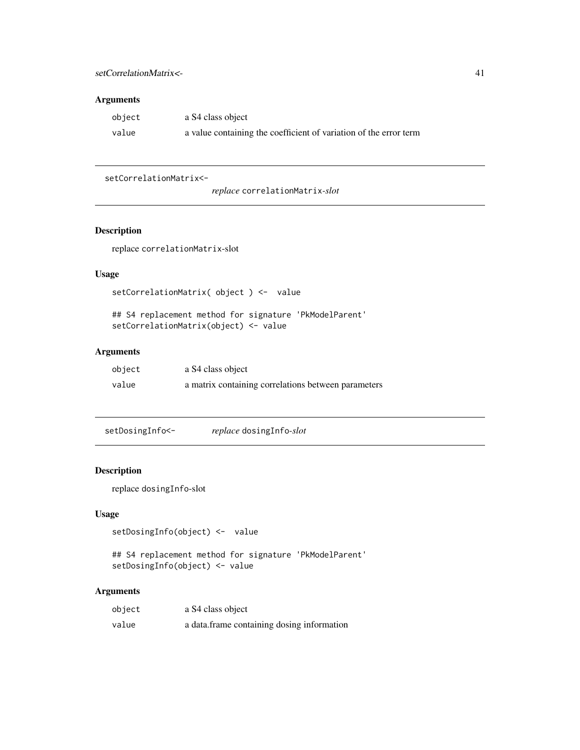## <span id="page-40-0"></span>setCorrelationMatrix<- 41

# Arguments

| object | a S4 class object                                                 |
|--------|-------------------------------------------------------------------|
| value  | a value containing the coefficient of variation of the error term |

## setCorrelationMatrix<-

# Description

replace correlationMatrix-slot

# Usage

```
setCorrelationMatrix( object ) <- value
```
## S4 replacement method for signature 'PkModelParent' setCorrelationMatrix(object) <- value

# Arguments

| object | a S4 class object                                   |
|--------|-----------------------------------------------------|
| value  | a matrix containing correlations between parameters |

```
setDosingInfo<- replace dosingInfo-slot
```
## Description

replace dosingInfo-slot

# Usage

```
setDosingInfo(object) <- value
```

```
## S4 replacement method for signature 'PkModelParent'
setDosingInfo(object) <- value
```

| object | a S4 class object                          |
|--------|--------------------------------------------|
| value  | a data frame containing dosing information |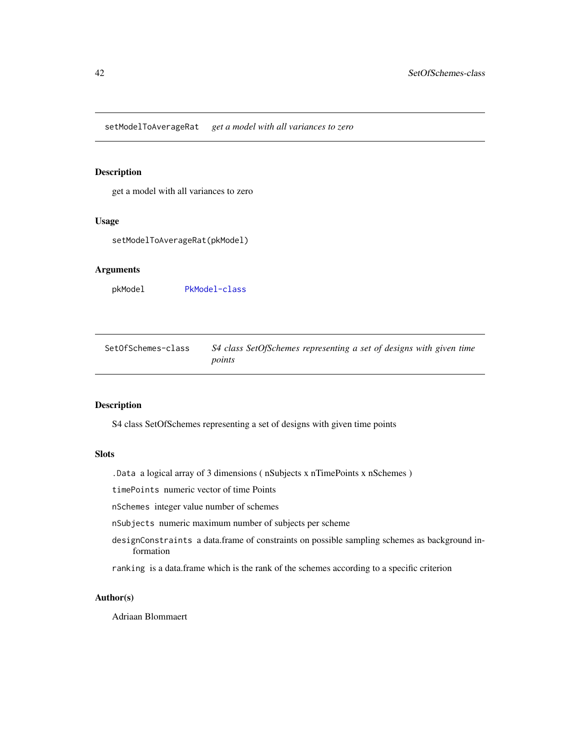<span id="page-41-0"></span>setModelToAverageRat *get a model with all variances to zero*

## Description

get a model with all variances to zero

#### Usage

setModelToAverageRat(pkModel)

## Arguments

pkModel [PkModel-class](#page-31-1)

<span id="page-41-1"></span>SetOfSchemes-class *S4 class SetOfSchemes representing a set of designs with given time points*

## Description

S4 class SetOfSchemes representing a set of designs with given time points

## Slots

.Data a logical array of 3 dimensions ( nSubjects x nTimePoints x nSchemes )

timePoints numeric vector of time Points

nSchemes integer value number of schemes

nSubjects numeric maximum number of subjects per scheme

designConstraints a data.frame of constraints on possible sampling schemes as background information

ranking is a data.frame which is the rank of the schemes according to a specific criterion

#### Author(s)

Adriaan Blommaert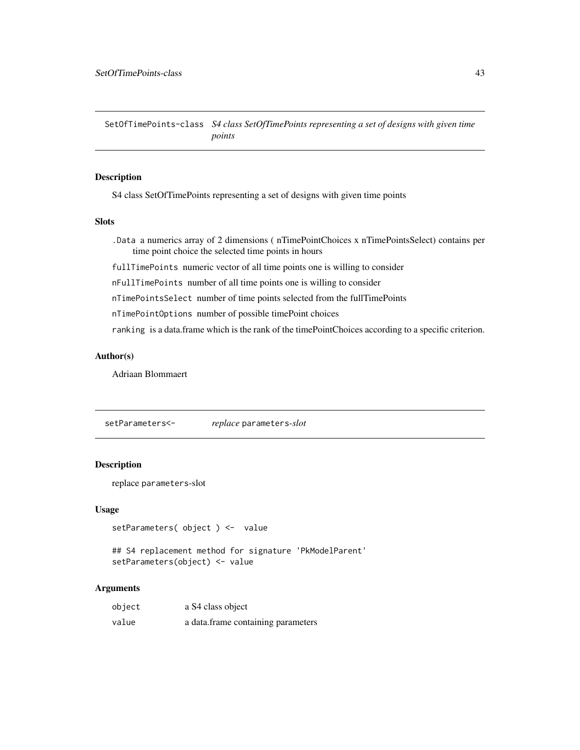<span id="page-42-1"></span><span id="page-42-0"></span>SetOfTimePoints-class *S4 class SetOfTimePoints representing a set of designs with given time points*

## <span id="page-42-2"></span>Description

S4 class SetOfTimePoints representing a set of designs with given time points

#### **Slots**

.Data a numerics array of 2 dimensions ( nTimePointChoices x nTimePointsSelect) contains per time point choice the selected time points in hours

fullTimePoints numeric vector of all time points one is willing to consider

nFullTimePoints number of all time points one is willing to consider

nTimePointsSelect number of time points selected from the fullTimePoints

nTimePointOptions number of possible timePoint choices

ranking is a data.frame which is the rank of the timePointChoices according to a specific criterion.

## Author(s)

Adriaan Blommaert

setParameters<- *replace* parameters*-slot*

#### Description

replace parameters-slot

#### Usage

```
setParameters( object ) <- value
```
## S4 replacement method for signature 'PkModelParent' setParameters(object) <- value

| object | a S4 class object                  |
|--------|------------------------------------|
| value  | a data.frame containing parameters |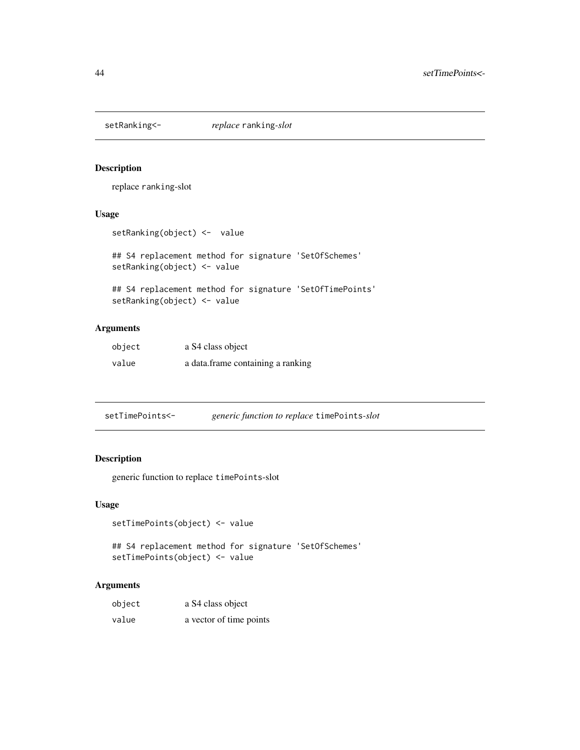<span id="page-43-0"></span>

replace ranking-slot

# Usage

```
setRanking(object) <- value
```
## S4 replacement method for signature 'SetOfSchemes' setRanking(object) <- value

```
## S4 replacement method for signature 'SetOfTimePoints'
setRanking(object) <- value
```
# Arguments

| object | a S4 class object                 |
|--------|-----------------------------------|
| value  | a data.frame containing a ranking |

| setTimePoints<- | <i>generic function to replace timePoints-slot</i> |
|-----------------|----------------------------------------------------|
|-----------------|----------------------------------------------------|

# Description

generic function to replace timePoints-slot

## Usage

```
setTimePoints(object) <- value
```
## S4 replacement method for signature 'SetOfSchemes' setTimePoints(object) <- value

| object | a S4 class object       |
|--------|-------------------------|
| value  | a vector of time points |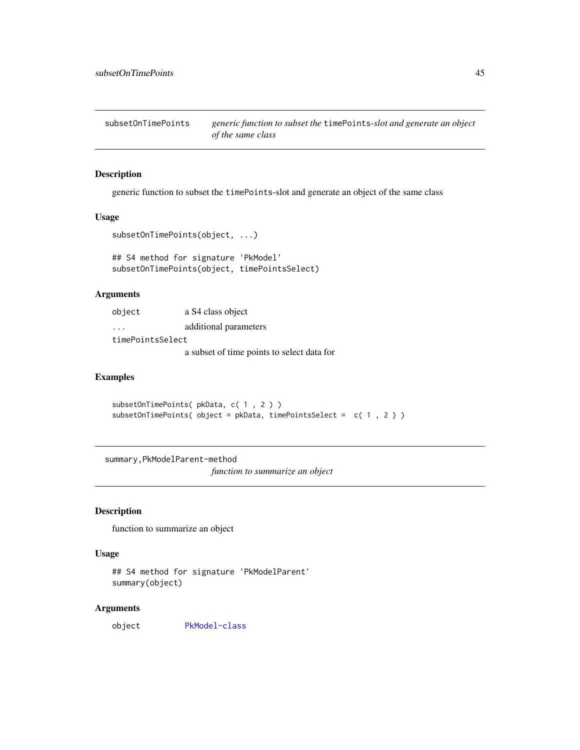<span id="page-44-0"></span>subsetOnTimePoints *generic function to subset the* timePoints*-slot and generate an object of the same class*

# Description

generic function to subset the timePoints-slot and generate an object of the same class

#### Usage

```
subsetOnTimePoints(object, ...)
```

```
## S4 method for signature 'PkModel'
subsetOnTimePoints(object, timePointsSelect)
```
# Arguments

| object           | a S4 class object                          |  |
|------------------|--------------------------------------------|--|
| .                | additional parameters                      |  |
| timePointsSelect |                                            |  |
|                  | a subset of time points to select data for |  |

#### Examples

subsetOnTimePoints( pkData, c( 1 , 2 ) ) subsetOnTimePoints( object = pkData, timePointsSelect = c( 1 , 2 ) )

summary,PkModelParent-method

*function to summarize an object*

## Description

function to summarize an object

## Usage

```
## S4 method for signature 'PkModelParent'
summary(object)
```
#### Arguments

object [PkModel-class](#page-31-1)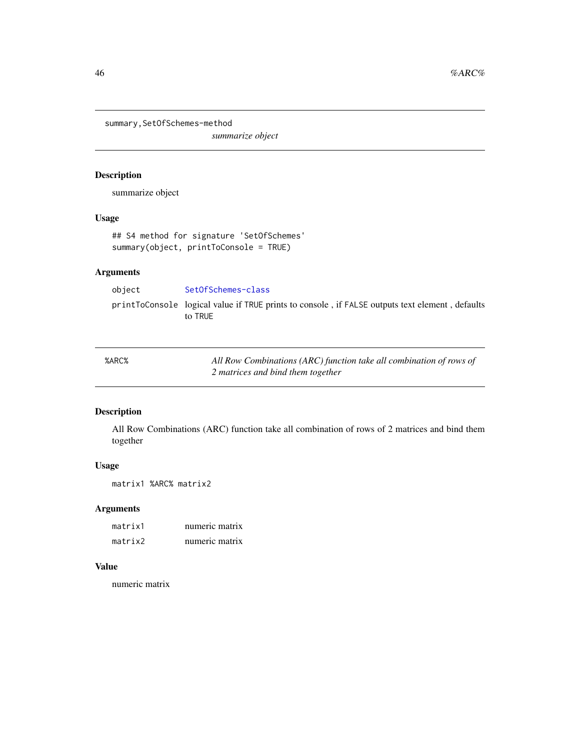<span id="page-45-0"></span>summary,SetOfSchemes-method

*summarize object*

# Description

summarize object

# Usage

```
## S4 method for signature 'SetOfSchemes'
summary(object, printToConsole = TRUE)
```
# Arguments

object [SetOfSchemes-class](#page-41-1)

printToConsole logical value if TRUE prints to console , if FALSE outputs text element , defaults to TRUE

| %ARC% | All Row Combinations (ARC) function take all combination of rows of |
|-------|---------------------------------------------------------------------|
|       | 2 matrices and bind them together                                   |

# Description

All Row Combinations (ARC) function take all combination of rows of 2 matrices and bind them together

## Usage

matrix1 %ARC% matrix2

# Arguments

| matrix1 | numeric matrix |
|---------|----------------|
| matrix2 | numeric matrix |

## Value

numeric matrix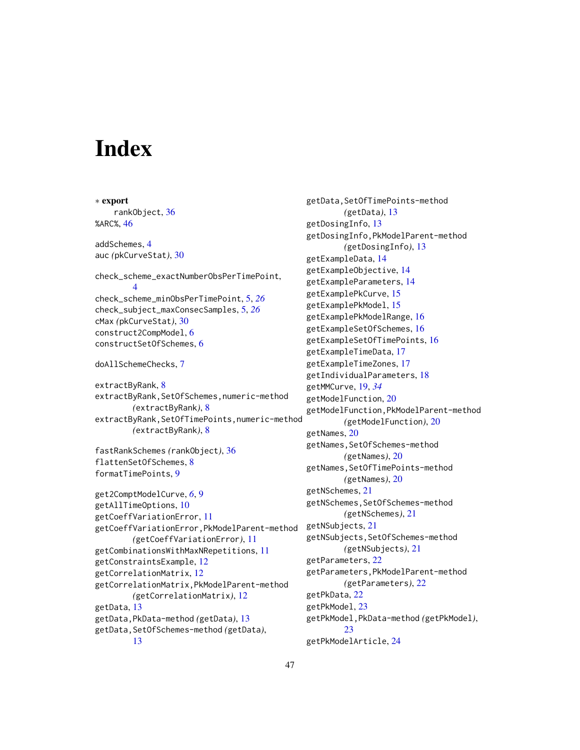# <span id="page-46-0"></span>**Index**

∗ export rankObject, [36](#page-35-0) %ARC%, [46](#page-45-0) addSchemes, [4](#page-3-0) auc *(*pkCurveStat*)*, [30](#page-29-0) check\_scheme\_exactNumberObsPerTimePoint, [4](#page-3-0) check\_scheme\_minObsPerTimePoint, [5,](#page-4-0) *[26](#page-25-0)* check\_subject\_maxConsecSamples, [5,](#page-4-0) *[26](#page-25-0)* cMax *(*pkCurveStat*)*, [30](#page-29-0) construct2CompModel, [6](#page-5-0) constructSetOfSchemes, [6](#page-5-0) doAllSchemeChecks, [7](#page-6-0) extractByRank, [8](#page-7-0) extractByRank,SetOfSchemes,numeric-method *(*extractByRank*)*, [8](#page-7-0) extractByRank,SetOfTimePoints,numeric-method *(*extractByRank*)*, [8](#page-7-0) fastRankSchemes *(*rankObject*)*, [36](#page-35-0) flattenSetOfSchemes, [8](#page-7-0) formatTimePoints, [9](#page-8-0) get2ComptModelCurve, *[6](#page-5-0)*, [9](#page-8-0) getAllTimeOptions, [10](#page-9-0) getCoeffVariationError, [11](#page-10-0) getCoeffVariationError,PkModelParent-method *(*getCoeffVariationError*)*, [11](#page-10-0) getCombinationsWithMaxNRepetitions, [11](#page-10-0) getConstraintsExample, [12](#page-11-0) getCorrelationMatrix, [12](#page-11-0) getCorrelationMatrix,PkModelParent-method *(*getCorrelationMatrix*)*, [12](#page-11-0) getData, [13](#page-12-0) getData,PkData-method *(*getData*)*, [13](#page-12-0) getData,SetOfSchemes-method *(*getData*)*, [13](#page-12-0)

getData,SetOfTimePoints-method *(*getData*)*, [13](#page-12-0) getDosingInfo, [13](#page-12-0) getDosingInfo,PkModelParent-method *(*getDosingInfo*)*, [13](#page-12-0) getExampleData, [14](#page-13-0) getExampleObjective, [14](#page-13-0) getExampleParameters, [14](#page-13-0) getExamplePkCurve, [15](#page-14-0) getExamplePkModel, [15](#page-14-0) getExamplePkModelRange, [16](#page-15-0) getExampleSetOfSchemes, [16](#page-15-0) getExampleSetOfTimePoints, [16](#page-15-0) getExampleTimeData, [17](#page-16-0) getExampleTimeZones, [17](#page-16-0) getIndividualParameters, [18](#page-17-0) getMMCurve, [19,](#page-18-0) *[34](#page-33-0)* getModelFunction, [20](#page-19-0) getModelFunction,PkModelParent-method *(*getModelFunction*)*, [20](#page-19-0) getNames, [20](#page-19-0) getNames, SetOfSchemes-method *(*getNames*)*, [20](#page-19-0) getNames, SetOfTimePoints-method *(*getNames*)*, [20](#page-19-0) getNSchemes, [21](#page-20-0) getNSchemes,SetOfSchemes-method *(*getNSchemes*)*, [21](#page-20-0) getNSubjects, [21](#page-20-0) getNSubjects,SetOfSchemes-method *(*getNSubjects*)*, [21](#page-20-0) getParameters, [22](#page-21-0) getParameters,PkModelParent-method *(*getParameters*)*, [22](#page-21-0) getPkData, [22](#page-21-0) getPkModel, [23](#page-22-0) getPkModel,PkData-method *(*getPkModel*)*, [23](#page-22-0) getPkModelArticle, [24](#page-23-0)